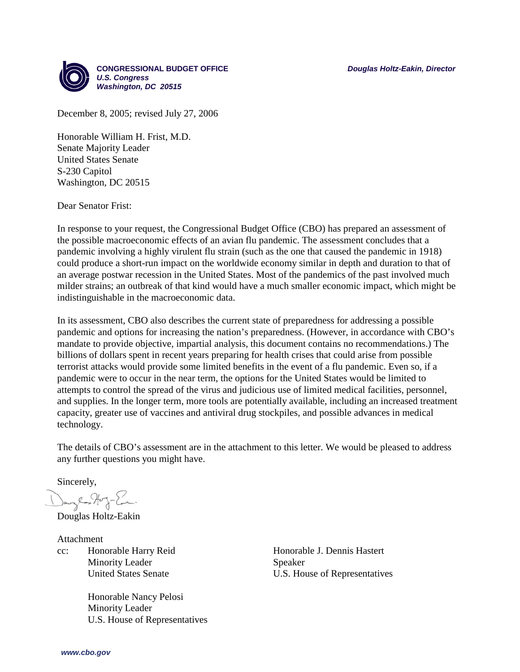

December 8, 2005; revised July 27, 2006

Honorable William H. Frist, M.D. Senate Majority Leader United States Senate S-230 Capitol Washington, DC 20515

Dear Senator Frist:

In response to your request, the Congressional Budget Office (CBO) has prepared an assessment of the possible macroeconomic effects of an avian flu pandemic. The assessment concludes that a pandemic involving a highly virulent flu strain (such as the one that caused the pandemic in 1918) could produce a short-run impact on the worldwide economy similar in depth and duration to that of an average postwar recession in the United States. Most of the pandemics of the past involved much milder strains; an outbreak of that kind would have a much smaller economic impact, which might be indistinguishable in the macroeconomic data.

In its assessment, CBO also describes the current state of preparedness for addressing a possible pandemic and options for increasing the nation's preparedness. (However, in accordance with CBO's mandate to provide objective, impartial analysis, this document contains no recommendations.) The billions of dollars spent in recent years preparing for health crises that could arise from possible terrorist attacks would provide some limited benefits in the event of a flu pandemic. Even so, if a pandemic were to occur in the near term, the options for the United States would be limited to attempts to control the spread of the virus and judicious use of limited medical facilities, personnel, and supplies. In the longer term, more tools are potentially available, including an increased treatment capacity, greater use of vaccines and antiviral drug stockpiles, and possible advances in medical technology.

The details of CBO's assessment are in the attachment to this letter. We would be pleased to address any further questions you might have.

Sincerely,

Dange Hog-En.

Douglas Holtz-Eakin

Attachment cc: Honorable Harry Reid Minority Leader United States Senate

> Honorable Nancy Pelosi Minority Leader U.S. House of Representatives

Honorable J. Dennis Hastert Speaker U.S. House of Representatives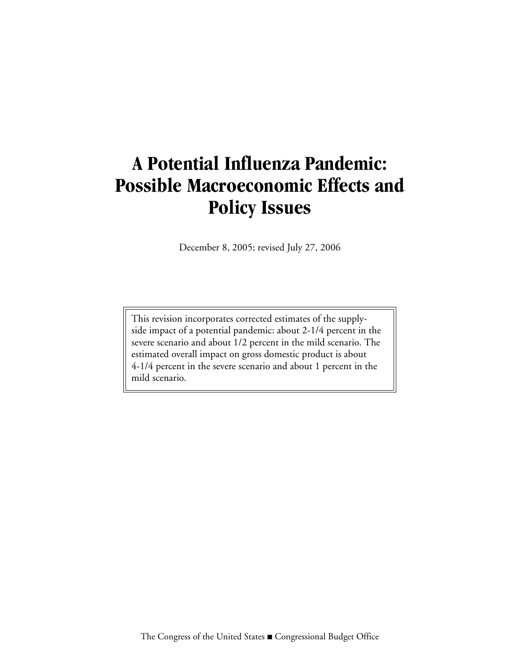# **A Potential Influenza Pandemic: Possible Macroeconomic Effects and Policy Issues**

December 8, 2005; revised July 27, 2006

This revision incorporates corrected estimates of the supplyside impact of a potential pandemic: about 2-1/4 percent in the severe scenario and about 1/2 percent in the mild scenario. The estimated overall impact on gross domestic product is about 4-1/4 percent in the severe scenario and about 1 percent in the mild scenario.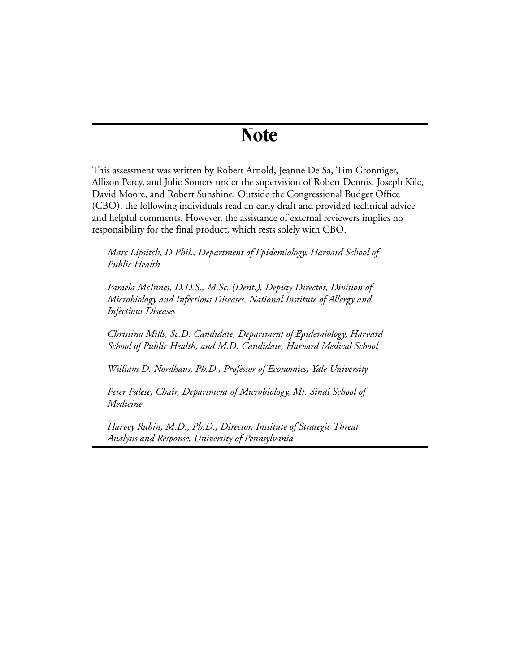# **Note**

This assessment was written by Robert Arnold, Jeanne De Sa, Tim Gronniger, Allison Percy, and Julie Somers under the supervision of Robert Dennis, Joseph Kile, David Moore, and Robert Sunshine. Outside the Congressional Budget Office (CBO), the following individuals read an early draft and provided technical advice and helpful comments. However, the assistance of external reviewers implies no responsibility for the final product, which rests solely with CBO.

*Marc Lipsitch, D.Phil., Department of Epidemiology, Harvard School of Public Health* 

*Pamela McInnes, D.D.S., M.Sc. (Dent.), Deputy Director, Division of Microbiology and Infectious Diseases, National Institute of Allergy and Infectious Diseases* 

*Christina Mills, Sc.D. Candidate, Department of Epidemiology, Harvard School of Public Health, and M.D. Candidate, Harvard Medical School*

*William D. Nordhaus, Ph.D., Professor of Economics, Yale University* 

*Peter Palese, Chair, Department of Microbiology, Mt. Sinai School of Medicine*

*Harvey Rubin, M.D., Ph.D., Director, Institute of Strategic Threat Analysis and Response, University of Pennsylvania*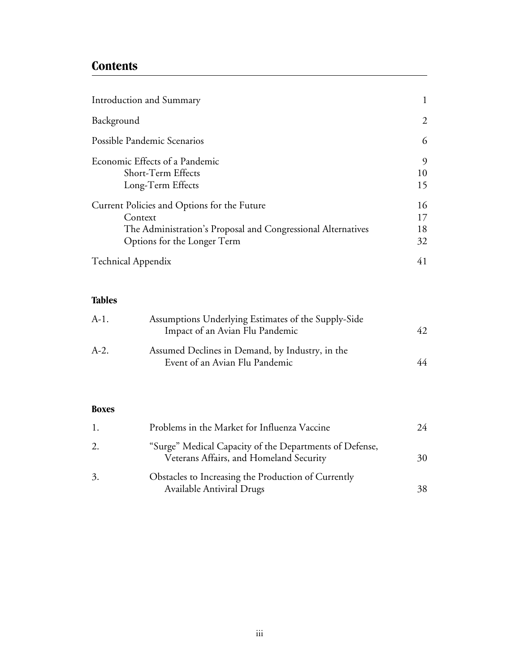## **Contents**

| Introduction and Summary                                     |    |
|--------------------------------------------------------------|----|
| Background                                                   | 2  |
| Possible Pandemic Scenarios                                  | 6  |
| Economic Effects of a Pandemic                               | 9  |
| Short-Term Effects                                           | 10 |
| Long-Term Effects                                            | 15 |
| Current Policies and Options for the Future                  | 16 |
| Context                                                      | 17 |
| The Administration's Proposal and Congressional Alternatives | 18 |
| Options for the Longer Term                                  | 32 |
| <b>Technical Appendix</b>                                    | 41 |

### **Tables**

| $A-1.$ | Assumptions Underlying Estimates of the Supply-Side<br>Impact of an Avian Flu Pandemic |    |
|--------|----------------------------------------------------------------------------------------|----|
| $A-2.$ | Assumed Declines in Demand, by Industry, in the<br>Event of an Avian Flu Pandemic      | 44 |

#### **Boxes**

| 1. | Problems in the Market for Influenza Vaccine                                                       | 24 |
|----|----------------------------------------------------------------------------------------------------|----|
| 2. | "Surge" Medical Capacity of the Departments of Defense,<br>Veterans Affairs, and Homeland Security | 30 |
| 3. | Obstacles to Increasing the Production of Currently<br><b>Available Antiviral Drugs</b>            | 38 |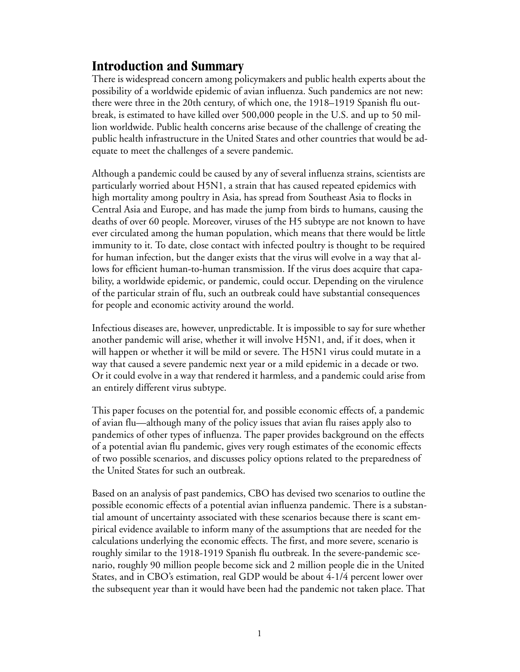# <span id="page-6-0"></span>**Introduction and Summary**

There is widespread concern among policymakers and public health experts about the possibility of a worldwide epidemic of avian influenza. Such pandemics are not new: there were three in the 20th century, of which one, the 1918–1919 Spanish flu outbreak, is estimated to have killed over 500,000 people in the U.S. and up to 50 million worldwide. Public health concerns arise because of the challenge of creating the public health infrastructure in the United States and other countries that would be adequate to meet the challenges of a severe pandemic.

Although a pandemic could be caused by any of several influenza strains, scientists are particularly worried about H5N1, a strain that has caused repeated epidemics with high mortality among poultry in Asia, has spread from Southeast Asia to flocks in Central Asia and Europe, and has made the jump from birds to humans, causing the deaths of over 60 people. Moreover, viruses of the H5 subtype are not known to have ever circulated among the human population, which means that there would be little immunity to it. To date, close contact with infected poultry is thought to be required for human infection, but the danger exists that the virus will evolve in a way that allows for efficient human-to-human transmission. If the virus does acquire that capability, a worldwide epidemic, or pandemic, could occur. Depending on the virulence of the particular strain of flu, such an outbreak could have substantial consequences for people and economic activity around the world.

Infectious diseases are, however, unpredictable. It is impossible to say for sure whether another pandemic will arise, whether it will involve H5N1, and, if it does, when it will happen or whether it will be mild or severe. The H5N1 virus could mutate in a way that caused a severe pandemic next year or a mild epidemic in a decade or two. Or it could evolve in a way that rendered it harmless, and a pandemic could arise from an entirely different virus subtype.

This paper focuses on the potential for, and possible economic effects of, a pandemic of avian flu—although many of the policy issues that avian flu raises apply also to pandemics of other types of influenza. The paper provides background on the effects of a potential avian flu pandemic, gives very rough estimates of the economic effects of two possible scenarios, and discusses policy options related to the preparedness of the United States for such an outbreak.

Based on an analysis of past pandemics, CBO has devised two scenarios to outline the possible economic effects of a potential avian influenza pandemic. There is a substantial amount of uncertainty associated with these scenarios because there is scant empirical evidence available to inform many of the assumptions that are needed for the calculations underlying the economic effects. The first, and more severe, scenario is roughly similar to the 1918-1919 Spanish flu outbreak. In the severe-pandemic scenario, roughly 90 million people become sick and 2 million people die in the United States, and in CBO's estimation, real GDP would be about 4-1/4 percent lower over the subsequent year than it would have been had the pandemic not taken place. That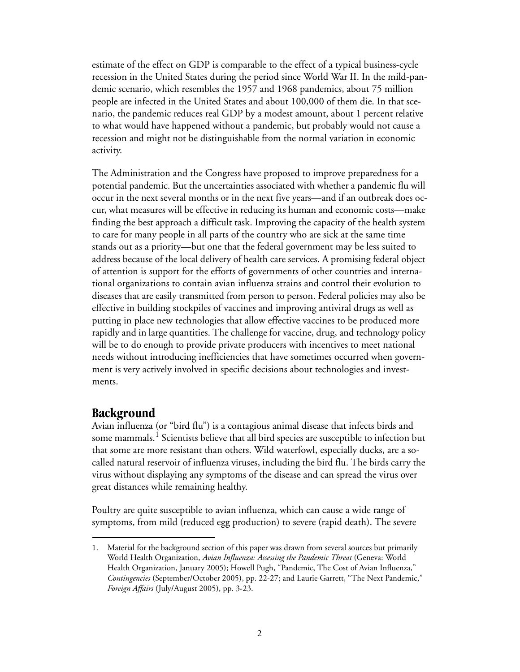estimate of the effect on GDP is comparable to the effect of a typical business-cycle recession in the United States during the period since World War II. In the mild-pandemic scenario, which resembles the 1957 and 1968 pandemics, about 75 million people are infected in the United States and about 100,000 of them die. In that scenario, the pandemic reduces real GDP by a modest amount, about 1 percent relative to what would have happened without a pandemic, but probably would not cause a recession and might not be distinguishable from the normal variation in economic activity.

The Administration and the Congress have proposed to improve preparedness for a potential pandemic. But the uncertainties associated with whether a pandemic flu will occur in the next several months or in the next five years—and if an outbreak does occur, what measures will be effective in reducing its human and economic costs—make finding the best approach a difficult task. Improving the capacity of the health system to care for many people in all parts of the country who are sick at the same time stands out as a priority—but one that the federal government may be less suited to address because of the local delivery of health care services. A promising federal object of attention is support for the efforts of governments of other countries and international organizations to contain avian influenza strains and control their evolution to diseases that are easily transmitted from person to person. Federal policies may also be effective in building stockpiles of vaccines and improving antiviral drugs as well as putting in place new technologies that allow effective vaccines to be produced more rapidly and in large quantities. The challenge for vaccine, drug, and technology policy will be to do enough to provide private producers with incentives to meet national needs without introducing inefficiencies that have sometimes occurred when government is very actively involved in specific decisions about technologies and investments.

### <span id="page-7-0"></span>**Background**

Avian influenza (or "bird flu") is a contagious animal disease that infects birds and some mammals. $^{\rm 1}$  Scientists believe that all bird species are susceptible to infection but that some are more resistant than others. Wild waterfowl, especially ducks, are a socalled natural reservoir of influenza viruses, including the bird flu. The birds carry the virus without displaying any symptoms of the disease and can spread the virus over great distances while remaining healthy.

Poultry are quite susceptible to avian influenza, which can cause a wide range of symptoms, from mild (reduced egg production) to severe (rapid death). The severe

<sup>1.</sup> Material for the background section of this paper was drawn from several sources but primarily World Health Organization, *Avian Influenza: Assessing the Pandemic Threat* (Geneva: World Health Organization, January 2005); Howell Pugh, "Pandemic, The Cost of Avian Influenza," *Contingencies* (September/October 2005), pp. 22-27; and Laurie Garrett, "The Next Pandemic," *Foreign Affairs* (July/August 2005), pp. 3-23.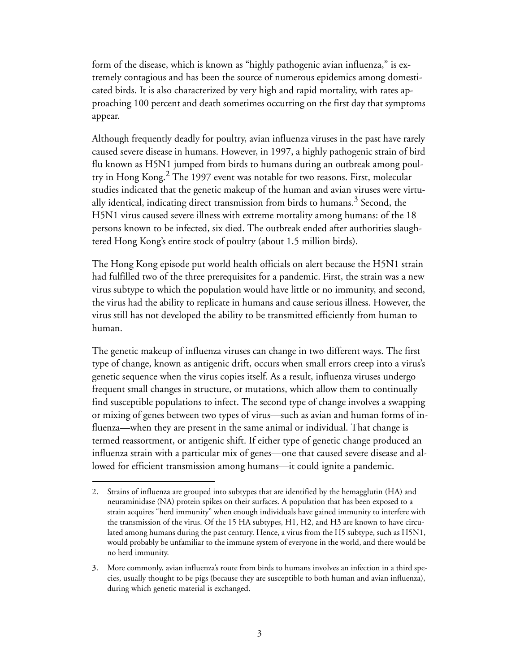form of the disease, which is known as "highly pathogenic avian influenza," is extremely contagious and has been the source of numerous epidemics among domesticated birds. It is also characterized by very high and rapid mortality, with rates approaching 100 percent and death sometimes occurring on the first day that symptoms appear.

Although frequently deadly for poultry, avian influenza viruses in the past have rarely caused severe disease in humans. However, in 1997, a highly pathogenic strain of bird flu known as H5N1 jumped from birds to humans during an outbreak among poultry in Hong Kong.2 The 1997 event was notable for two reasons. First, molecular studies indicated that the genetic makeup of the human and avian viruses were virtually identical, indicating direct transmission from birds to humans.<sup>3</sup> Second, the H5N1 virus caused severe illness with extreme mortality among humans: of the 18 persons known to be infected, six died. The outbreak ended after authorities slaughtered Hong Kong's entire stock of poultry (about 1.5 million birds).

The Hong Kong episode put world health officials on alert because the H5N1 strain had fulfilled two of the three prerequisites for a pandemic. First, the strain was a new virus subtype to which the population would have little or no immunity, and second, the virus had the ability to replicate in humans and cause serious illness. However, the virus still has not developed the ability to be transmitted efficiently from human to human.

The genetic makeup of influenza viruses can change in two different ways. The first type of change, known as antigenic drift, occurs when small errors creep into a virus's genetic sequence when the virus copies itself. As a result, influenza viruses undergo frequent small changes in structure, or mutations, which allow them to continually find susceptible populations to infect. The second type of change involves a swapping or mixing of genes between two types of virus—such as avian and human forms of influenza—when they are present in the same animal or individual. That change is termed reassortment, or antigenic shift. If either type of genetic change produced an influenza strain with a particular mix of genes—one that caused severe disease and allowed for efficient transmission among humans—it could ignite a pandemic.

<sup>2.</sup> Strains of influenza are grouped into subtypes that are identified by the hemagglutin (HA) and neuraminidase (NA) protein spikes on their surfaces. A population that has been exposed to a strain acquires "herd immunity" when enough individuals have gained immunity to interfere with the transmission of the virus. Of the 15 HA subtypes, H1, H2, and H3 are known to have circulated among humans during the past century. Hence, a virus from the H5 subtype, such as H5N1, would probably be unfamiliar to the immune system of everyone in the world, and there would be no herd immunity.

<sup>3.</sup> More commonly, avian influenza's route from birds to humans involves an infection in a third species, usually thought to be pigs (because they are susceptible to both human and avian influenza), during which genetic material is exchanged.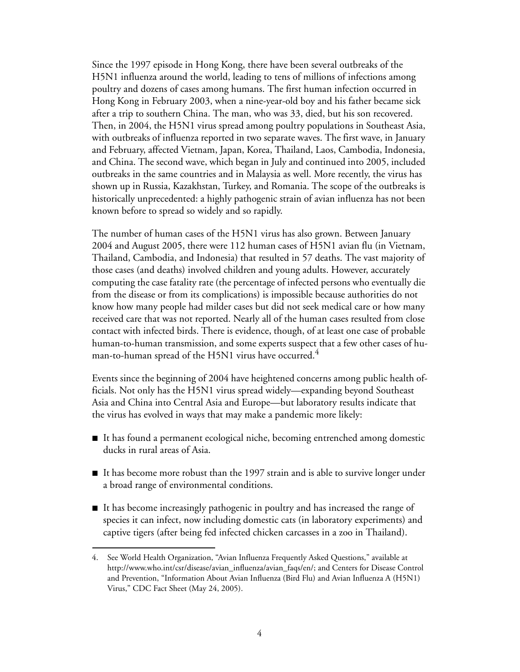Since the 1997 episode in Hong Kong, there have been several outbreaks of the H5N1 influenza around the world, leading to tens of millions of infections among poultry and dozens of cases among humans. The first human infection occurred in Hong Kong in February 2003, when a nine-year-old boy and his father became sick after a trip to southern China. The man, who was 33, died, but his son recovered. Then, in 2004, the H5N1 virus spread among poultry populations in Southeast Asia, with outbreaks of influenza reported in two separate waves. The first wave, in January and February, affected Vietnam, Japan, Korea, Thailand, Laos, Cambodia, Indonesia, and China. The second wave, which began in July and continued into 2005, included outbreaks in the same countries and in Malaysia as well. More recently, the virus has shown up in Russia, Kazakhstan, Turkey, and Romania. The scope of the outbreaks is historically unprecedented: a highly pathogenic strain of avian influenza has not been known before to spread so widely and so rapidly.

The number of human cases of the H5N1 virus has also grown. Between January 2004 and August 2005, there were 112 human cases of H5N1 avian flu (in Vietnam, Thailand, Cambodia, and Indonesia) that resulted in 57 deaths. The vast majority of those cases (and deaths) involved children and young adults. However, accurately computing the case fatality rate (the percentage of infected persons who eventually die from the disease or from its complications) is impossible because authorities do not know how many people had milder cases but did not seek medical care or how many received care that was not reported. Nearly all of the human cases resulted from close contact with infected birds. There is evidence, though, of at least one case of probable human-to-human transmission, and some experts suspect that a few other cases of human-to-human spread of the H5N1 virus have occurred.<sup>4</sup>

Events since the beginning of 2004 have heightened concerns among public health officials. Not only has the H5N1 virus spread widely—expanding beyond Southeast Asia and China into Central Asia and Europe—but laboratory results indicate that the virus has evolved in ways that may make a pandemic more likely:

- It has found a permanent ecological niche, becoming entrenched among domestic ducks in rural areas of Asia.
- It has become more robust than the 1997 strain and is able to survive longer under a broad range of environmental conditions.
- It has become increasingly pathogenic in poultry and has increased the range of species it can infect, now including domestic cats (in laboratory experiments) and captive tigers (after being fed infected chicken carcasses in a zoo in Thailand).

<sup>4.</sup> See World Health Organization, "Avian Influenza Frequently Asked Questions," available at http://www.who.int/csr/disease/avian\_influenza/avian\_faqs/en/; and Centers for Disease Control and Prevention, "Information About Avian Influenza (Bird Flu) and Avian Influenza A (H5N1) Virus," CDC Fact Sheet (May 24, 2005).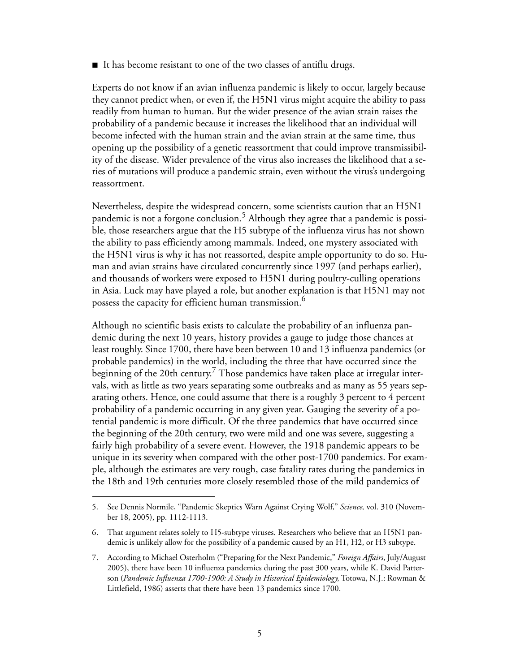$\blacksquare$  It has become resistant to one of the two classes of antiflu drugs.

Experts do not know if an avian influenza pandemic is likely to occur, largely because they cannot predict when, or even if, the H5N1 virus might acquire the ability to pass readily from human to human. But the wider presence of the avian strain raises the probability of a pandemic because it increases the likelihood that an individual will become infected with the human strain and the avian strain at the same time, thus opening up the possibility of a genetic reassortment that could improve transmissibility of the disease. Wider prevalence of the virus also increases the likelihood that a series of mutations will produce a pandemic strain, even without the virus's undergoing reassortment.

Nevertheless, despite the widespread concern, some scientists caution that an H5N1 pandemic is not a forgone conclusion.<sup>5</sup> Although they agree that a pandemic is possible, those researchers argue that the H5 subtype of the influenza virus has not shown the ability to pass efficiently among mammals. Indeed, one mystery associated with the H5N1 virus is why it has not reassorted, despite ample opportunity to do so. Human and avian strains have circulated concurrently since 1997 (and perhaps earlier), and thousands of workers were exposed to H5N1 during poultry-culling operations in Asia. Luck may have played a role, but another explanation is that H5N1 may not possess the capacity for efficient human transmission.<sup>6</sup>

Although no scientific basis exists to calculate the probability of an influenza pandemic during the next 10 years, history provides a gauge to judge those chances at least roughly. Since 1700, there have been between 10 and 13 influenza pandemics (or probable pandemics) in the world, including the three that have occurred since the  $\overline{\rm}$  beginning of the 20th century. $^7$  Those pandemics have taken place at irregular intervals, with as little as two years separating some outbreaks and as many as 55 years separating others. Hence, one could assume that there is a roughly 3 percent to 4 percent probability of a pandemic occurring in any given year. Gauging the severity of a potential pandemic is more difficult. Of the three pandemics that have occurred since the beginning of the 20th century, two were mild and one was severe, suggesting a fairly high probability of a severe event. However, the 1918 pandemic appears to be unique in its severity when compared with the other post-1700 pandemics. For example, although the estimates are very rough, case fatality rates during the pandemics in the 18th and 19th centuries more closely resembled those of the mild pandemics of

<sup>5.</sup> See Dennis Normile, "Pandemic Skeptics Warn Against Crying Wolf," *Science,* vol. 310 (November 18, 2005), pp. 1112-1113.

<sup>6.</sup> That argument relates solely to H5-subtype viruses. Researchers who believe that an H5N1 pandemic is unlikely allow for the possibility of a pandemic caused by an H1, H2, or H3 subtype.

<sup>7.</sup> According to Michael Osterholm ("Preparing for the Next Pandemic," *Foreign Affairs*, July/August 2005), there have been 10 influenza pandemics during the past 300 years, while K. David Patterson (*Pandemic Influenza 1700-1900: A Study in Historical Epidemiology*, Totowa, N.J.: Rowman & Littlefield, 1986) asserts that there have been 13 pandemics since 1700.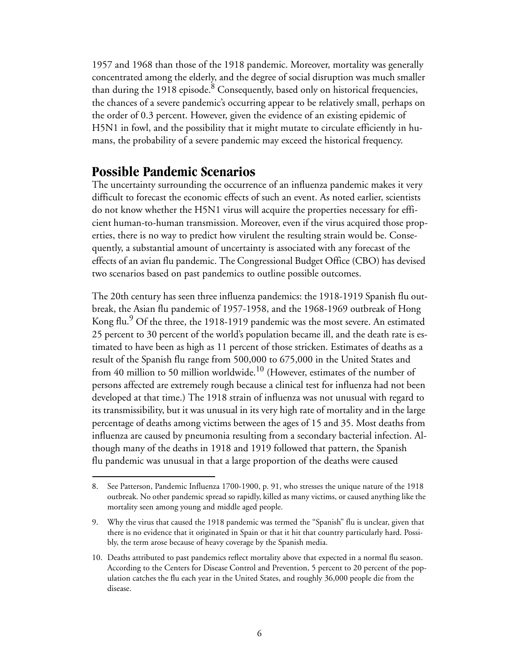1957 and 1968 than those of the 1918 pandemic. Moreover, mortality was generally concentrated among the elderly, and the degree of social disruption was much smaller than during the 1918 episode.<sup>8</sup> Consequently, based only on historical frequencies, the chances of a severe pandemic's occurring appear to be relatively small, perhaps on the order of 0.3 percent. However, given the evidence of an existing epidemic of H5N1 in fowl, and the possibility that it might mutate to circulate efficiently in humans, the probability of a severe pandemic may exceed the historical frequency.

### <span id="page-11-0"></span>**Possible Pandemic Scenarios**

The uncertainty surrounding the occurrence of an influenza pandemic makes it very difficult to forecast the economic effects of such an event. As noted earlier, scientists do not know whether the H5N1 virus will acquire the properties necessary for efficient human-to-human transmission. Moreover, even if the virus acquired those properties, there is no way to predict how virulent the resulting strain would be. Consequently, a substantial amount of uncertainty is associated with any forecast of the effects of an avian flu pandemic. The Congressional Budget Office (CBO) has devised two scenarios based on past pandemics to outline possible outcomes.

The 20th century has seen three influenza pandemics: the 1918-1919 Spanish flu outbreak, the Asian flu pandemic of 1957-1958, and the 1968-1969 outbreak of Hong Kong flu.<sup>9</sup> Of the three, the 1918-1919 pandemic was the most severe. An estimated 25 percent to 30 percent of the world's population became ill, and the death rate is estimated to have been as high as 11 percent of those stricken. Estimates of deaths as a result of the Spanish flu range from 500,000 to 675,000 in the United States and from 40 million to 50 million worldwide.<sup>10</sup> (However, estimates of the number of persons affected are extremely rough because a clinical test for influenza had not been developed at that time.) The 1918 strain of influenza was not unusual with regard to its transmissibility, but it was unusual in its very high rate of mortality and in the large percentage of deaths among victims between the ages of 15 and 35. Most deaths from influenza are caused by pneumonia resulting from a secondary bacterial infection. Although many of the deaths in 1918 and 1919 followed that pattern, the Spanish flu pandemic was unusual in that a large proportion of the deaths were caused

<sup>8.</sup> See Patterson, Pandemic Influenza 1700-1900, p. 91, who stresses the unique nature of the 1918 outbreak. No other pandemic spread so rapidly, killed as many victims, or caused anything like the mortality seen among young and middle aged people.

<sup>9.</sup> Why the virus that caused the 1918 pandemic was termed the "Spanish" flu is unclear, given that there is no evidence that it originated in Spain or that it hit that country particularly hard. Possibly, the term arose because of heavy coverage by the Spanish media.

<sup>10.</sup> Deaths attributed to past pandemics reflect mortality above that expected in a normal flu season. According to the Centers for Disease Control and Prevention, 5 percent to 20 percent of the population catches the flu each year in the United States, and roughly 36,000 people die from the disease.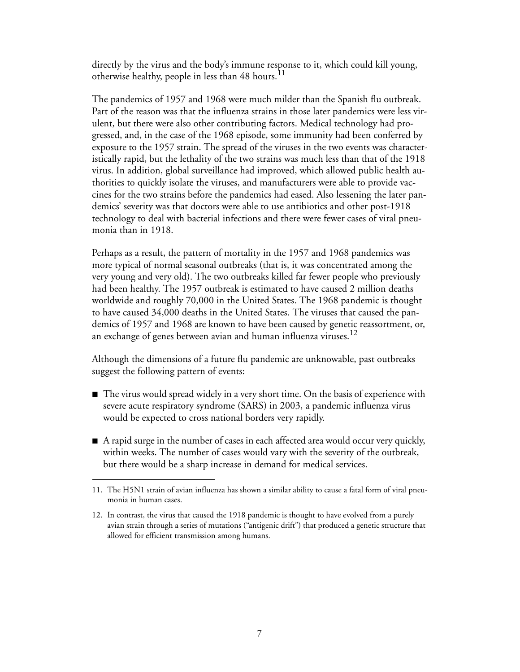directly by the virus and the body's immune response to it, which could kill young, otherwise healthy, people in less than 48 hours.<sup>11</sup>

The pandemics of 1957 and 1968 were much milder than the Spanish flu outbreak. Part of the reason was that the influenza strains in those later pandemics were less virulent, but there were also other contributing factors. Medical technology had progressed, and, in the case of the 1968 episode, some immunity had been conferred by exposure to the 1957 strain. The spread of the viruses in the two events was characteristically rapid, but the lethality of the two strains was much less than that of the 1918 virus. In addition, global surveillance had improved, which allowed public health authorities to quickly isolate the viruses, and manufacturers were able to provide vaccines for the two strains before the pandemics had eased. Also lessening the later pandemics' severity was that doctors were able to use antibiotics and other post-1918 technology to deal with bacterial infections and there were fewer cases of viral pneumonia than in 1918.

Perhaps as a result, the pattern of mortality in the 1957 and 1968 pandemics was more typical of normal seasonal outbreaks (that is, it was concentrated among the very young and very old). The two outbreaks killed far fewer people who previously had been healthy. The 1957 outbreak is estimated to have caused 2 million deaths worldwide and roughly 70,000 in the United States. The 1968 pandemic is thought to have caused 34,000 deaths in the United States. The viruses that caused the pandemics of 1957 and 1968 are known to have been caused by genetic reassortment, or, an exchange of genes between avian and human influenza viruses.<sup>12</sup>

Although the dimensions of a future flu pandemic are unknowable, past outbreaks suggest the following pattern of events:

- $\blacksquare$  The virus would spread widely in a very short time. On the basis of experience with severe acute respiratory syndrome (SARS) in 2003, a pandemic influenza virus would be expected to cross national borders very rapidly.
- $\blacksquare$  A rapid surge in the number of cases in each affected area would occur very quickly, within weeks. The number of cases would vary with the severity of the outbreak, but there would be a sharp increase in demand for medical services.

<sup>11.</sup> The H5N1 strain of avian influenza has shown a similar ability to cause a fatal form of viral pneumonia in human cases.

<sup>12.</sup> In contrast, the virus that caused the 1918 pandemic is thought to have evolved from a purely avian strain through a series of mutations ("antigenic drift") that produced a genetic structure that allowed for efficient transmission among humans.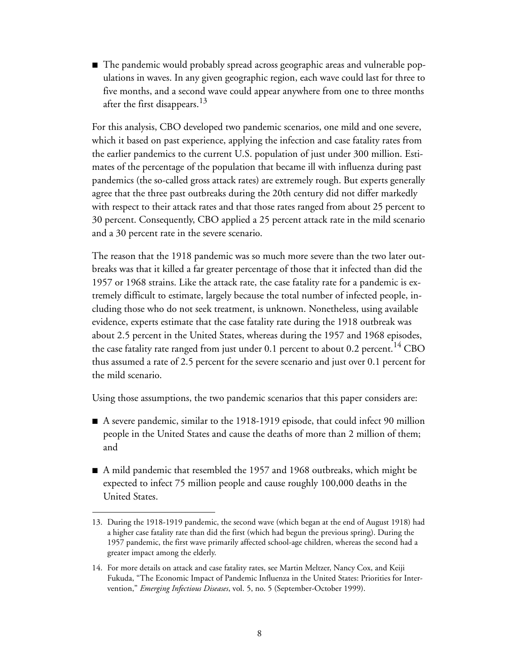■ The pandemic would probably spread across geographic areas and vulnerable populations in waves. In any given geographic region, each wave could last for three to five months, and a second wave could appear anywhere from one to three months after the first disappears.<sup>13</sup>

For this analysis, CBO developed two pandemic scenarios, one mild and one severe, which it based on past experience, applying the infection and case fatality rates from the earlier pandemics to the current U.S. population of just under 300 million. Estimates of the percentage of the population that became ill with influenza during past pandemics (the so-called gross attack rates) are extremely rough. But experts generally agree that the three past outbreaks during the 20th century did not differ markedly with respect to their attack rates and that those rates ranged from about 25 percent to 30 percent. Consequently, CBO applied a 25 percent attack rate in the mild scenario and a 30 percent rate in the severe scenario.

The reason that the 1918 pandemic was so much more severe than the two later outbreaks was that it killed a far greater percentage of those that it infected than did the 1957 or 1968 strains. Like the attack rate, the case fatality rate for a pandemic is extremely difficult to estimate, largely because the total number of infected people, including those who do not seek treatment, is unknown. Nonetheless, using available evidence, experts estimate that the case fatality rate during the 1918 outbreak was about 2.5 percent in the United States, whereas during the 1957 and 1968 episodes, the case fatality rate ranged from just under 0.1 percent to about 0.2 percent.<sup>14</sup> CBO thus assumed a rate of 2.5 percent for the severe scenario and just over 0.1 percent for the mild scenario.

Using those assumptions, the two pandemic scenarios that this paper considers are:

- A severe pandemic, similar to the 1918-1919 episode, that could infect 90 million people in the United States and cause the deaths of more than 2 million of them; and
- A mild pandemic that resembled the 1957 and 1968 outbreaks, which might be expected to infect 75 million people and cause roughly 100,000 deaths in the United States.

<sup>13.</sup> During the 1918-1919 pandemic, the second wave (which began at the end of August 1918) had a higher case fatality rate than did the first (which had begun the previous spring). During the 1957 pandemic, the first wave primarily affected school-age children, whereas the second had a greater impact among the elderly.

<sup>14.</sup> For more details on attack and case fatality rates, see Martin Meltzer, Nancy Cox, and Keiji Fukuda, "The Economic Impact of Pandemic Influenza in the United States: Priorities for Intervention," *Emerging Infectious Diseases*, vol. 5, no. 5 (September-October 1999).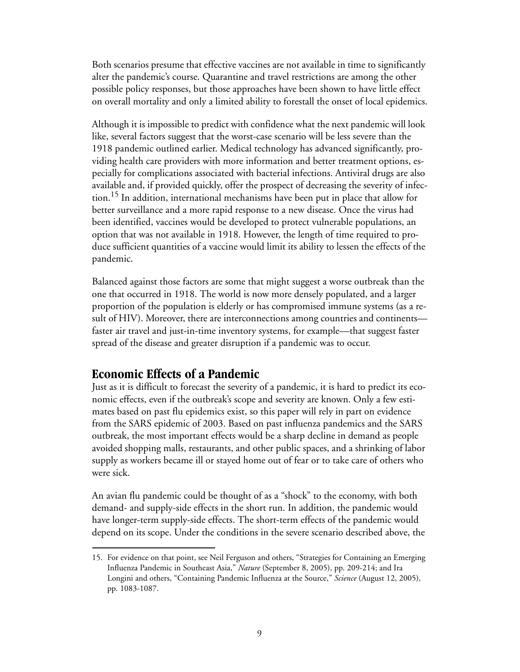Both scenarios presume that effective vaccines are not available in time to significantly alter the pandemic's course. Quarantine and travel restrictions are among the other possible policy responses, but those approaches have been shown to have little effect on overall mortality and only a limited ability to forestall the onset of local epidemics.

Although it is impossible to predict with confidence what the next pandemic will look like, several factors suggest that the worst-case scenario will be less severe than the 1918 pandemic outlined earlier. Medical technology has advanced significantly, providing health care providers with more information and better treatment options, especially for complications associated with bacterial infections. Antiviral drugs are also available and, if provided quickly, offer the prospect of decreasing the severity of infection.15 In addition, international mechanisms have been put in place that allow for better surveillance and a more rapid response to a new disease. Once the virus had been identified, vaccines would be developed to protect vulnerable populations, an option that was not available in 1918. However, the length of time required to produce sufficient quantities of a vaccine would limit its ability to lessen the effects of the pandemic.

Balanced against those factors are some that might suggest a worse outbreak than the one that occurred in 1918. The world is now more densely populated, and a larger proportion of the population is elderly or has compromised immune systems (as a result of HIV). Moreover, there are interconnections among countries and continents faster air travel and just-in-time inventory systems, for example—that suggest faster spread of the disease and greater disruption if a pandemic was to occur.

### <span id="page-14-0"></span>**Economic Effects of a Pandemic**

Just as it is difficult to forecast the severity of a pandemic, it is hard to predict its economic effects, even if the outbreak's scope and severity are known. Only a few estimates based on past flu epidemics exist, so this paper will rely in part on evidence from the SARS epidemic of 2003. Based on past influenza pandemics and the SARS outbreak, the most important effects would be a sharp decline in demand as people avoided shopping malls, restaurants, and other public spaces, and a shrinking of labor supply as workers became ill or stayed home out of fear or to take care of others who were sick.

An avian flu pandemic could be thought of as a "shock" to the economy, with both demand- and supply-side effects in the short run. In addition, the pandemic would have longer-term supply-side effects. The short-term effects of the pandemic would depend on its scope. Under the conditions in the severe scenario described above, the

<sup>15.</sup> For evidence on that point, see Neil Ferguson and others, "Strategies for Containing an Emerging Influenza Pandemic in Southeast Asia," *Nature* (September 8, 2005), pp. 209-214; and Ira Longini and others, "Containing Pandemic Influenza at the Source," *Science* (August 12, 2005), pp. 1083-1087.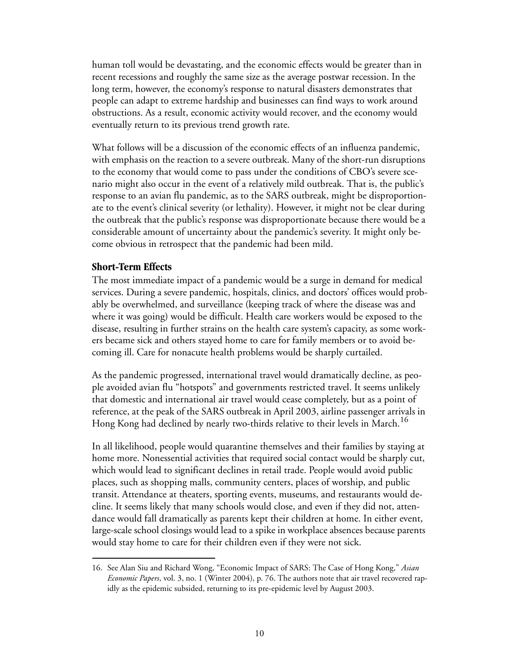human toll would be devastating, and the economic effects would be greater than in recent recessions and roughly the same size as the average postwar recession. In the long term, however, the economy's response to natural disasters demonstrates that people can adapt to extreme hardship and businesses can find ways to work around obstructions. As a result, economic activity would recover, and the economy would eventually return to its previous trend growth rate.

What follows will be a discussion of the economic effects of an influenza pandemic, with emphasis on the reaction to a severe outbreak. Many of the short-run disruptions to the economy that would come to pass under the conditions of CBO's severe scenario might also occur in the event of a relatively mild outbreak. That is, the public's response to an avian flu pandemic, as to the SARS outbreak, might be disproportionate to the event's clinical severity (or lethality). However, it might not be clear during the outbreak that the public's response was disproportionate because there would be a considerable amount of uncertainty about the pandemic's severity. It might only become obvious in retrospect that the pandemic had been mild.

#### <span id="page-15-0"></span>**Short-Term Effects**

The most immediate impact of a pandemic would be a surge in demand for medical services. During a severe pandemic, hospitals, clinics, and doctors' offices would probably be overwhelmed, and surveillance (keeping track of where the disease was and where it was going) would be difficult. Health care workers would be exposed to the disease, resulting in further strains on the health care system's capacity, as some workers became sick and others stayed home to care for family members or to avoid becoming ill. Care for nonacute health problems would be sharply curtailed.

As the pandemic progressed, international travel would dramatically decline, as people avoided avian flu "hotspots" and governments restricted travel. It seems unlikely that domestic and international air travel would cease completely, but as a point of reference, at the peak of the SARS outbreak in April 2003, airline passenger arrivals in Hong Kong had declined by nearly two-thirds relative to their levels in March.<sup>16</sup>

In all likelihood, people would quarantine themselves and their families by staying at home more. Nonessential activities that required social contact would be sharply cut, which would lead to significant declines in retail trade. People would avoid public places, such as shopping malls, community centers, places of worship, and public transit. Attendance at theaters, sporting events, museums, and restaurants would decline. It seems likely that many schools would close, and even if they did not, attendance would fall dramatically as parents kept their children at home. In either event, large-scale school closings would lead to a spike in workplace absences because parents would stay home to care for their children even if they were not sick.

<sup>16.</sup> See Alan Siu and Richard Wong, "Economic Impact of SARS: The Case of Hong Kong," *Asian Economic Papers*, vol. 3, no. 1 (Winter 2004), p. 76. The authors note that air travel recovered rapidly as the epidemic subsided, returning to its pre-epidemic level by August 2003.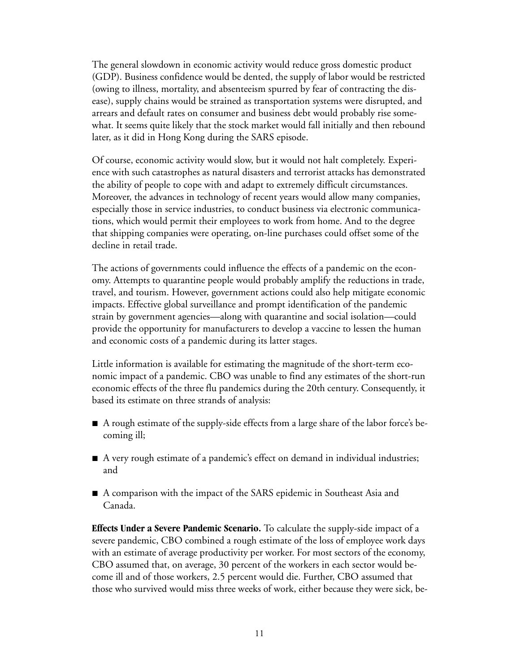The general slowdown in economic activity would reduce gross domestic product (GDP). Business confidence would be dented, the supply of labor would be restricted (owing to illness, mortality, and absenteeism spurred by fear of contracting the disease), supply chains would be strained as transportation systems were disrupted, and arrears and default rates on consumer and business debt would probably rise somewhat. It seems quite likely that the stock market would fall initially and then rebound later, as it did in Hong Kong during the SARS episode.

Of course, economic activity would slow, but it would not halt completely. Experience with such catastrophes as natural disasters and terrorist attacks has demonstrated the ability of people to cope with and adapt to extremely difficult circumstances. Moreover, the advances in technology of recent years would allow many companies, especially those in service industries, to conduct business via electronic communications, which would permit their employees to work from home. And to the degree that shipping companies were operating, on-line purchases could offset some of the decline in retail trade.

The actions of governments could influence the effects of a pandemic on the economy. Attempts to quarantine people would probably amplify the reductions in trade, travel, and tourism. However, government actions could also help mitigate economic impacts. Effective global surveillance and prompt identification of the pandemic strain by government agencies—along with quarantine and social isolation—could provide the opportunity for manufacturers to develop a vaccine to lessen the human and economic costs of a pandemic during its latter stages.

Little information is available for estimating the magnitude of the short-term economic impact of a pandemic. CBO was unable to find any estimates of the short-run economic effects of the three flu pandemics during the 20th century. Consequently, it based its estimate on three strands of analysis:

- A rough estimate of the supply-side effects from a large share of the labor force's becoming ill;
- A very rough estimate of a pandemic's effect on demand in individual industries; and
- A comparison with the impact of the SARS epidemic in Southeast Asia and Canada.

**Effects Under a Severe Pandemic Scenario.** To calculate the supply-side impact of a severe pandemic, CBO combined a rough estimate of the loss of employee work days with an estimate of average productivity per worker. For most sectors of the economy, CBO assumed that, on average, 30 percent of the workers in each sector would become ill and of those workers, 2.5 percent would die. Further, CBO assumed that those who survived would miss three weeks of work, either because they were sick, be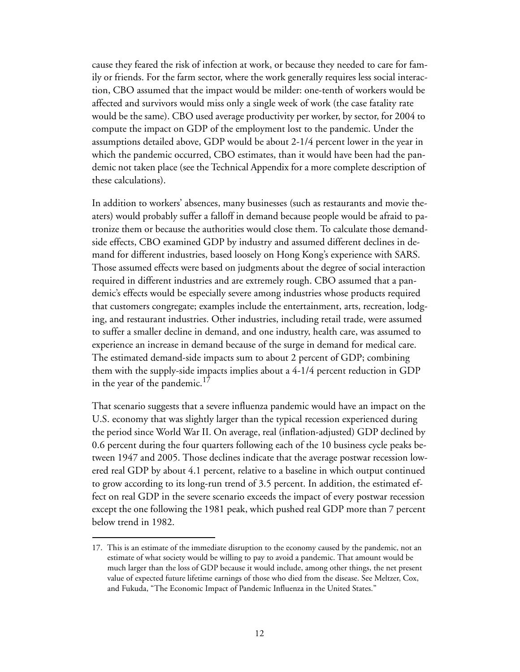cause they feared the risk of infection at work, or because they needed to care for family or friends. For the farm sector, where the work generally requires less social interaction, CBO assumed that the impact would be milder: one-tenth of workers would be affected and survivors would miss only a single week of work (the case fatality rate would be the same). CBO used average productivity per worker, by sector, for 2004 to compute the impact on GDP of the employment lost to the pandemic. Under the assumptions detailed above, GDP would be about 2-1/4 percent lower in the year in which the pandemic occurred, CBO estimates, than it would have been had the pandemic not taken place (see the Technical Appendix for a more complete description of these calculations).

In addition to workers' absences, many businesses (such as restaurants and movie theaters) would probably suffer a falloff in demand because people would be afraid to patronize them or because the authorities would close them. To calculate those demandside effects, CBO examined GDP by industry and assumed different declines in demand for different industries, based loosely on Hong Kong's experience with SARS. Those assumed effects were based on judgments about the degree of social interaction required in different industries and are extremely rough. CBO assumed that a pandemic's effects would be especially severe among industries whose products required that customers congregate; examples include the entertainment, arts, recreation, lodging, and restaurant industries. Other industries, including retail trade, were assumed to suffer a smaller decline in demand, and one industry, health care, was assumed to experience an increase in demand because of the surge in demand for medical care. The estimated demand-side impacts sum to about 2 percent of GDP; combining them with the supply-side impacts implies about a 4-1/4 percent reduction in GDP in the year of the pandemic.<sup>17</sup>

That scenario suggests that a severe influenza pandemic would have an impact on the U.S. economy that was slightly larger than the typical recession experienced during the period since World War II. On average, real (inflation-adjusted) GDP declined by 0.6 percent during the four quarters following each of the 10 business cycle peaks between 1947 and 2005. Those declines indicate that the average postwar recession lowered real GDP by about 4.1 percent, relative to a baseline in which output continued to grow according to its long-run trend of 3.5 percent. In addition, the estimated effect on real GDP in the severe scenario exceeds the impact of every postwar recession except the one following the 1981 peak, which pushed real GDP more than 7 percent below trend in 1982.

<sup>17.</sup> This is an estimate of the immediate disruption to the economy caused by the pandemic, not an estimate of what society would be willing to pay to avoid a pandemic. That amount would be much larger than the loss of GDP because it would include, among other things, the net present value of expected future lifetime earnings of those who died from the disease. See Meltzer, Cox, and Fukuda, "The Economic Impact of Pandemic Influenza in the United States."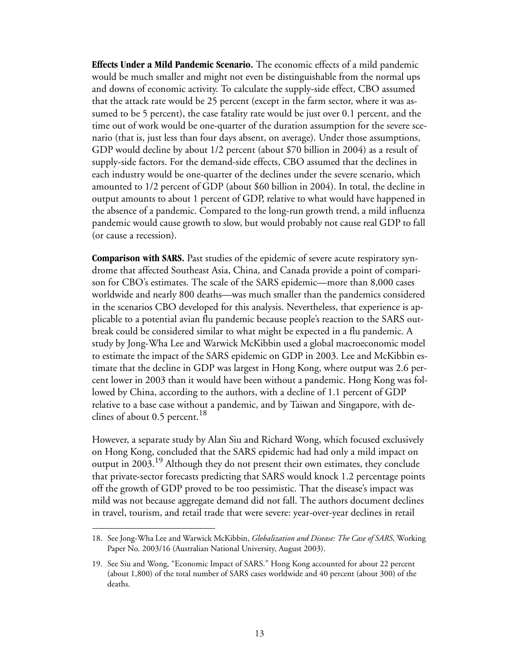**Effects Under a Mild Pandemic Scenario.** The economic effects of a mild pandemic would be much smaller and might not even be distinguishable from the normal ups and downs of economic activity. To calculate the supply-side effect, CBO assumed that the attack rate would be 25 percent (except in the farm sector, where it was assumed to be 5 percent), the case fatality rate would be just over 0.1 percent, and the time out of work would be one-quarter of the duration assumption for the severe scenario (that is, just less than four days absent, on average). Under those assumptions, GDP would decline by about 1/2 percent (about \$70 billion in 2004) as a result of supply-side factors. For the demand-side effects, CBO assumed that the declines in each industry would be one-quarter of the declines under the severe scenario, which amounted to 1/2 percent of GDP (about \$60 billion in 2004). In total, the decline in output amounts to about 1 percent of GDP, relative to what would have happened in the absence of a pandemic. Compared to the long-run growth trend, a mild influenza pandemic would cause growth to slow, but would probably not cause real GDP to fall (or cause a recession).

**Comparison with SARS.** Past studies of the epidemic of severe acute respiratory syndrome that affected Southeast Asia, China, and Canada provide a point of comparison for CBO's estimates. The scale of the SARS epidemic—more than 8,000 cases worldwide and nearly 800 deaths—was much smaller than the pandemics considered in the scenarios CBO developed for this analysis. Nevertheless, that experience is applicable to a potential avian flu pandemic because people's reaction to the SARS outbreak could be considered similar to what might be expected in a flu pandemic. A study by Jong-Wha Lee and Warwick McKibbin used a global macroeconomic model to estimate the impact of the SARS epidemic on GDP in 2003. Lee and McKibbin estimate that the decline in GDP was largest in Hong Kong, where output was 2.6 percent lower in 2003 than it would have been without a pandemic. Hong Kong was followed by China, according to the authors, with a decline of 1.1 percent of GDP relative to a base case without a pandemic, and by Taiwan and Singapore, with declines of about 0.5 percent.<sup>18</sup>

However, a separate study by Alan Siu and Richard Wong, which focused exclusively on Hong Kong, concluded that the SARS epidemic had had only a mild impact on output in 2003.19 Although they do not present their own estimates, they conclude that private-sector forecasts predicting that SARS would knock 1.2 percentage points off the growth of GDP proved to be too pessimistic. That the disease's impact was mild was not because aggregate demand did not fall. The authors document declines in travel, tourism, and retail trade that were severe: year-over-year declines in retail

<sup>18.</sup> See Jong-Wha Lee and Warwick McKibbin, *Globalization and Disease: The Case of SARS,* Working Paper No. 2003/16 (Australian National University, August 2003).

<sup>19.</sup> See Siu and Wong, "Economic Impact of SARS." Hong Kong accounted for about 22 percent (about 1,800) of the total number of SARS cases worldwide and 40 percent (about 300) of the deaths.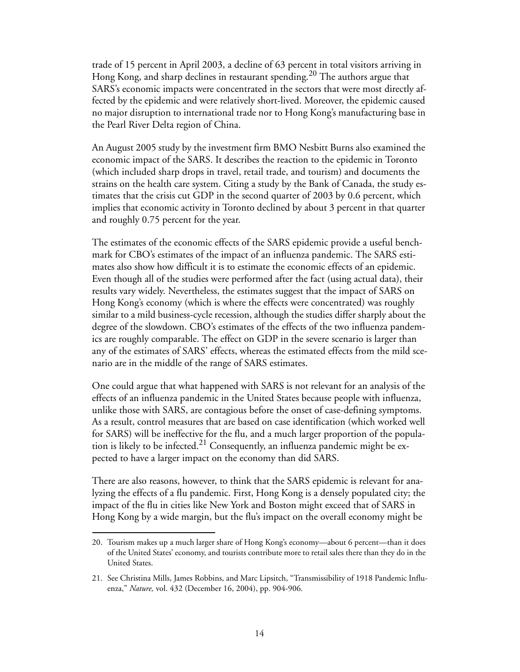trade of 15 percent in April 2003, a decline of 63 percent in total visitors arriving in Hong Kong, and sharp declines in restaurant spending.<sup>20</sup> The authors argue that SARS's economic impacts were concentrated in the sectors that were most directly affected by the epidemic and were relatively short-lived. Moreover, the epidemic caused no major disruption to international trade nor to Hong Kong's manufacturing base in the Pearl River Delta region of China.

An August 2005 study by the investment firm BMO Nesbitt Burns also examined the economic impact of the SARS. It describes the reaction to the epidemic in Toronto (which included sharp drops in travel, retail trade, and tourism) and documents the strains on the health care system. Citing a study by the Bank of Canada, the study estimates that the crisis cut GDP in the second quarter of 2003 by 0.6 percent, which implies that economic activity in Toronto declined by about 3 percent in that quarter and roughly 0.75 percent for the year.

The estimates of the economic effects of the SARS epidemic provide a useful benchmark for CBO's estimates of the impact of an influenza pandemic. The SARS estimates also show how difficult it is to estimate the economic effects of an epidemic. Even though all of the studies were performed after the fact (using actual data), their results vary widely. Nevertheless, the estimates suggest that the impact of SARS on Hong Kong's economy (which is where the effects were concentrated) was roughly similar to a mild business-cycle recession, although the studies differ sharply about the degree of the slowdown. CBO's estimates of the effects of the two influenza pandemics are roughly comparable. The effect on GDP in the severe scenario is larger than any of the estimates of SARS' effects, whereas the estimated effects from the mild scenario are in the middle of the range of SARS estimates.

One could argue that what happened with SARS is not relevant for an analysis of the effects of an influenza pandemic in the United States because people with influenza, unlike those with SARS, are contagious before the onset of case-defining symptoms. As a result, control measures that are based on case identification (which worked well for SARS) will be ineffective for the flu, and a much larger proportion of the population is likely to be infected.<sup>21</sup> Consequently, an influenza pandemic might be expected to have a larger impact on the economy than did SARS.

There are also reasons, however, to think that the SARS epidemic is relevant for analyzing the effects of a flu pandemic. First, Hong Kong is a densely populated city; the impact of the flu in cities like New York and Boston might exceed that of SARS in Hong Kong by a wide margin, but the flu's impact on the overall economy might be

<sup>20.</sup> Tourism makes up a much larger share of Hong Kong's economy—about 6 percent—than it does of the United States' economy, and tourists contribute more to retail sales there than they do in the United States.

<sup>21.</sup> See Christina Mills, James Robbins, and Marc Lipsitch, "Transmissibility of 1918 Pandemic Influenza," *Nature,* vol. 432 (December 16, 2004), pp. 904-906.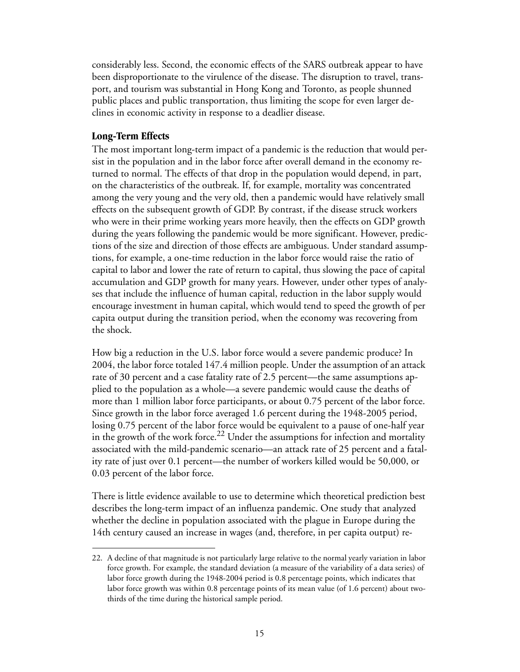considerably less. Second, the economic effects of the SARS outbreak appear to have been disproportionate to the virulence of the disease. The disruption to travel, transport, and tourism was substantial in Hong Kong and Toronto, as people shunned public places and public transportation, thus limiting the scope for even larger declines in economic activity in response to a deadlier disease.

#### <span id="page-20-0"></span>**Long-Term Effects**

The most important long-term impact of a pandemic is the reduction that would persist in the population and in the labor force after overall demand in the economy returned to normal. The effects of that drop in the population would depend, in part, on the characteristics of the outbreak. If, for example, mortality was concentrated among the very young and the very old, then a pandemic would have relatively small effects on the subsequent growth of GDP. By contrast, if the disease struck workers who were in their prime working years more heavily, then the effects on GDP growth during the years following the pandemic would be more significant. However, predictions of the size and direction of those effects are ambiguous. Under standard assumptions, for example, a one-time reduction in the labor force would raise the ratio of capital to labor and lower the rate of return to capital, thus slowing the pace of capital accumulation and GDP growth for many years. However, under other types of analyses that include the influence of human capital, reduction in the labor supply would encourage investment in human capital, which would tend to speed the growth of per capita output during the transition period, when the economy was recovering from the shock.

How big a reduction in the U.S. labor force would a severe pandemic produce? In 2004, the labor force totaled 147.4 million people. Under the assumption of an attack rate of 30 percent and a case fatality rate of 2.5 percent—the same assumptions applied to the population as a whole—a severe pandemic would cause the deaths of more than 1 million labor force participants, or about 0.75 percent of the labor force. Since growth in the labor force averaged 1.6 percent during the 1948-2005 period, losing 0.75 percent of the labor force would be equivalent to a pause of one-half year in the growth of the work force.<sup>22</sup> Under the assumptions for infection and mortality associated with the mild-pandemic scenario—an attack rate of 25 percent and a fatality rate of just over 0.1 percent—the number of workers killed would be 50,000, or 0.03 percent of the labor force.

There is little evidence available to use to determine which theoretical prediction best describes the long-term impact of an influenza pandemic. One study that analyzed whether the decline in population associated with the plague in Europe during the 14th century caused an increase in wages (and, therefore, in per capita output) re-

<sup>22.</sup> A decline of that magnitude is not particularly large relative to the normal yearly variation in labor force growth. For example, the standard deviation (a measure of the variability of a data series) of labor force growth during the 1948-2004 period is 0.8 percentage points, which indicates that labor force growth was within 0.8 percentage points of its mean value (of 1.6 percent) about twothirds of the time during the historical sample period.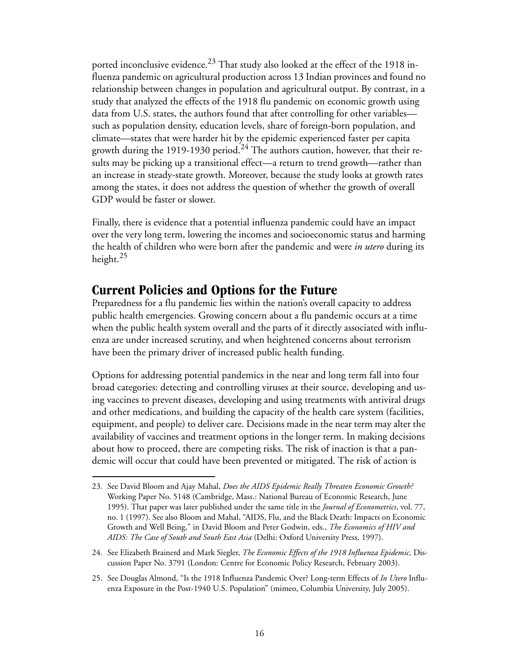ported inconclusive evidence.<sup>23</sup> That study also looked at the effect of the 1918 influenza pandemic on agricultural production across 13 Indian provinces and found no relationship between changes in population and agricultural output. By contrast, in a study that analyzed the effects of the 1918 flu pandemic on economic growth using data from U.S. states, the authors found that after controlling for other variables such as population density, education levels, share of foreign-born population, and climate—states that were harder hit by the epidemic experienced faster per capita growth during the 1919-1930 period.<sup>24</sup> The authors caution, however, that their results may be picking up a transitional effect—a return to trend growth—rather than an increase in steady-state growth. Moreover, because the study looks at growth rates among the states, it does not address the question of whether the growth of overall GDP would be faster or slower.

Finally, there is evidence that a potential influenza pandemic could have an impact over the very long term, lowering the incomes and socioeconomic status and harming the health of children who were born after the pandemic and were *in utero* during its height.<sup>25</sup>

### <span id="page-21-0"></span>**Current Policies and Options for the Future**

Preparedness for a flu pandemic lies within the nation's overall capacity to address public health emergencies. Growing concern about a flu pandemic occurs at a time when the public health system overall and the parts of it directly associated with influenza are under increased scrutiny, and when heightened concerns about terrorism have been the primary driver of increased public health funding.

Options for addressing potential pandemics in the near and long term fall into four broad categories: detecting and controlling viruses at their source, developing and using vaccines to prevent diseases, developing and using treatments with antiviral drugs and other medications, and building the capacity of the health care system (facilities, equipment, and people) to deliver care. Decisions made in the near term may alter the availability of vaccines and treatment options in the longer term. In making decisions about how to proceed, there are competing risks. The risk of inaction is that a pandemic will occur that could have been prevented or mitigated. The risk of action is

<sup>23.</sup> See David Bloom and Ajay Mahal, *Does the AIDS Epidemic Really Threaten Economic Growth?*  Working Paper No. 5148 (Cambridge, Mass.: National Bureau of Economic Research, June 1995). That paper was later published under the same title in the *Journal of Econometrics*, vol. 77, no. 1 (1997). See also Bloom and Mahal, "AIDS, Flu, and the Black Death: Impacts on Economic Growth and Well Being," in David Bloom and Peter Godwin, eds., *The Economics of HIV and AIDS: The Case of South and South East Asia* (Delhi: Oxford University Press, 1997).

<sup>24.</sup> See Elizabeth Brainerd and Mark Siegler, *The Economic Effects of the 1918 Influenza Epidemic,* Discussion Paper No. 3791 (London: Centre for Economic Policy Research, February 2003).

<sup>25.</sup> See Douglas Almond, "Is the 1918 Influenza Pandemic Over? Long-term Effects of *In Utero* Influenza Exposure in the Post-1940 U.S. Population" (mimeo, Columbia University, July 2005).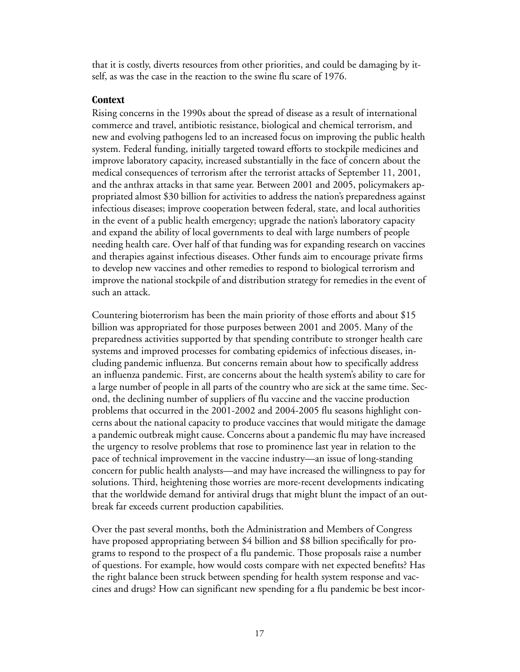that it is costly, diverts resources from other priorities, and could be damaging by itself, as was the case in the reaction to the swine flu scare of 1976.

### <span id="page-22-0"></span>**Context**

Rising concerns in the 1990s about the spread of disease as a result of international commerce and travel, antibiotic resistance, biological and chemical terrorism, and new and evolving pathogens led to an increased focus on improving the public health system. Federal funding, initially targeted toward efforts to stockpile medicines and improve laboratory capacity, increased substantially in the face of concern about the medical consequences of terrorism after the terrorist attacks of September 11, 2001, and the anthrax attacks in that same year. Between 2001 and 2005, policymakers appropriated almost \$30 billion for activities to address the nation's preparedness against infectious diseases; improve cooperation between federal, state, and local authorities in the event of a public health emergency; upgrade the nation's laboratory capacity and expand the ability of local governments to deal with large numbers of people needing health care. Over half of that funding was for expanding research on vaccines and therapies against infectious diseases. Other funds aim to encourage private firms to develop new vaccines and other remedies to respond to biological terrorism and improve the national stockpile of and distribution strategy for remedies in the event of such an attack.

Countering bioterrorism has been the main priority of those efforts and about \$15 billion was appropriated for those purposes between 2001 and 2005. Many of the preparedness activities supported by that spending contribute to stronger health care systems and improved processes for combating epidemics of infectious diseases, including pandemic influenza. But concerns remain about how to specifically address an influenza pandemic. First, are concerns about the health system's ability to care for a large number of people in all parts of the country who are sick at the same time. Second, the declining number of suppliers of flu vaccine and the vaccine production problems that occurred in the 2001-2002 and 2004-2005 flu seasons highlight concerns about the national capacity to produce vaccines that would mitigate the damage a pandemic outbreak might cause. Concerns about a pandemic flu may have increased the urgency to resolve problems that rose to prominence last year in relation to the pace of technical improvement in the vaccine industry—an issue of long-standing concern for public health analysts—and may have increased the willingness to pay for solutions. Third, heightening those worries are more-recent developments indicating that the worldwide demand for antiviral drugs that might blunt the impact of an outbreak far exceeds current production capabilities.

Over the past several months, both the Administration and Members of Congress have proposed appropriating between \$4 billion and \$8 billion specifically for programs to respond to the prospect of a flu pandemic. Those proposals raise a number of questions. For example, how would costs compare with net expected benefits? Has the right balance been struck between spending for health system response and vaccines and drugs? How can significant new spending for a flu pandemic be best incor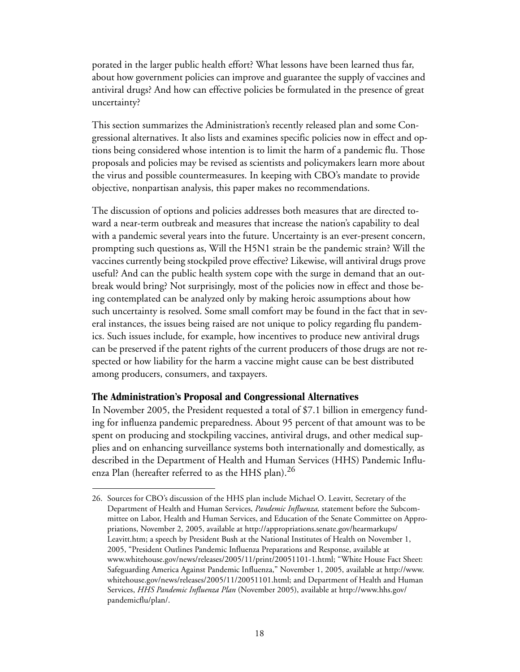porated in the larger public health effort? What lessons have been learned thus far, about how government policies can improve and guarantee the supply of vaccines and antiviral drugs? And how can effective policies be formulated in the presence of great uncertainty?

This section summarizes the Administration's recently released plan and some Congressional alternatives. It also lists and examines specific policies now in effect and options being considered whose intention is to limit the harm of a pandemic flu. Those proposals and policies may be revised as scientists and policymakers learn more about the virus and possible countermeasures. In keeping with CBO's mandate to provide objective, nonpartisan analysis, this paper makes no recommendations.

The discussion of options and policies addresses both measures that are directed toward a near-term outbreak and measures that increase the nation's capability to deal with a pandemic several years into the future. Uncertainty is an ever-present concern, prompting such questions as, Will the H5N1 strain be the pandemic strain? Will the vaccines currently being stockpiled prove effective? Likewise, will antiviral drugs prove useful? And can the public health system cope with the surge in demand that an outbreak would bring? Not surprisingly, most of the policies now in effect and those being contemplated can be analyzed only by making heroic assumptions about how such uncertainty is resolved. Some small comfort may be found in the fact that in several instances, the issues being raised are not unique to policy regarding flu pandemics. Such issues include, for example, how incentives to produce new antiviral drugs can be preserved if the patent rights of the current producers of those drugs are not respected or how liability for the harm a vaccine might cause can be best distributed among producers, consumers, and taxpayers.

#### <span id="page-23-0"></span>**The Administration's Proposal and Congressional Alternatives**

In November 2005, the President requested a total of \$7.1 billion in emergency funding for influenza pandemic preparedness. About 95 percent of that amount was to be spent on producing and stockpiling vaccines, antiviral drugs, and other medical supplies and on enhancing surveillance systems both internationally and domestically, as described in the Department of Health and Human Services (HHS) Pandemic Influenza Plan (hereafter referred to as the HHS plan).<sup>26</sup>

<sup>26.</sup> Sources for CBO's discussion of the HHS plan include Michael O. Leavitt, Secretary of the Department of Health and Human Services, *Pandemic Influenza,* statement before the Subcommittee on Labor, Health and Human Services, and Education of the Senate Committee on Appropriations, November 2, 2005, available at http://appropriations.senate.gov/hearmarkups/ Leavitt.htm; a speech by President Bush at the National Institutes of Health on November 1, 2005, "President Outlines Pandemic Influenza Preparations and Response, available at www.whitehouse.gov/news/releases/2005/11/print/20051101-1.html; "White House Fact Sheet: Safeguarding America Against Pandemic Influenza," November 1, 2005, available at http://www. whitehouse.gov/news/releases/2005/11/20051101.html; and Department of Health and Human Services, *HHS Pandemic Influenza Plan* (November 2005), available at http://www.hhs.gov/ pandemicflu/plan/.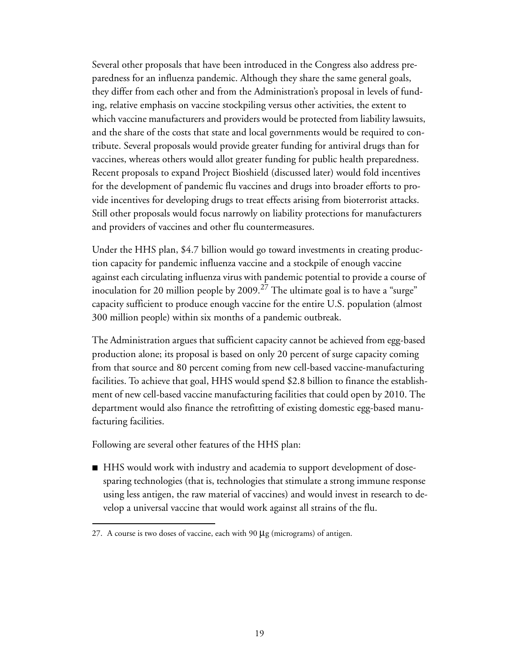Several other proposals that have been introduced in the Congress also address preparedness for an influenza pandemic. Although they share the same general goals, they differ from each other and from the Administration's proposal in levels of funding, relative emphasis on vaccine stockpiling versus other activities, the extent to which vaccine manufacturers and providers would be protected from liability lawsuits, and the share of the costs that state and local governments would be required to contribute. Several proposals would provide greater funding for antiviral drugs than for vaccines, whereas others would allot greater funding for public health preparedness. Recent proposals to expand Project Bioshield (discussed later) would fold incentives for the development of pandemic flu vaccines and drugs into broader efforts to provide incentives for developing drugs to treat effects arising from bioterrorist attacks. Still other proposals would focus narrowly on liability protections for manufacturers and providers of vaccines and other flu countermeasures.

Under the HHS plan, \$4.7 billion would go toward investments in creating production capacity for pandemic influenza vaccine and a stockpile of enough vaccine against each circulating influenza virus with pandemic potential to provide a course of inoculation for 20 million people by 2009.<sup>27</sup> The ultimate goal is to have a "surge" capacity sufficient to produce enough vaccine for the entire U.S. population (almost 300 million people) within six months of a pandemic outbreak.

The Administration argues that sufficient capacity cannot be achieved from egg-based production alone; its proposal is based on only 20 percent of surge capacity coming from that source and 80 percent coming from new cell-based vaccine-manufacturing facilities. To achieve that goal, HHS would spend \$2.8 billion to finance the establishment of new cell-based vaccine manufacturing facilities that could open by 2010. The department would also finance the retrofitting of existing domestic egg-based manufacturing facilities.

Following are several other features of the HHS plan:

■ HHS would work with industry and academia to support development of dosesparing technologies (that is, technologies that stimulate a strong immune response using less antigen, the raw material of vaccines) and would invest in research to develop a universal vaccine that would work against all strains of the flu.

<sup>27.</sup> A course is two doses of vaccine, each with 90  $\mu$ g (micrograms) of antigen.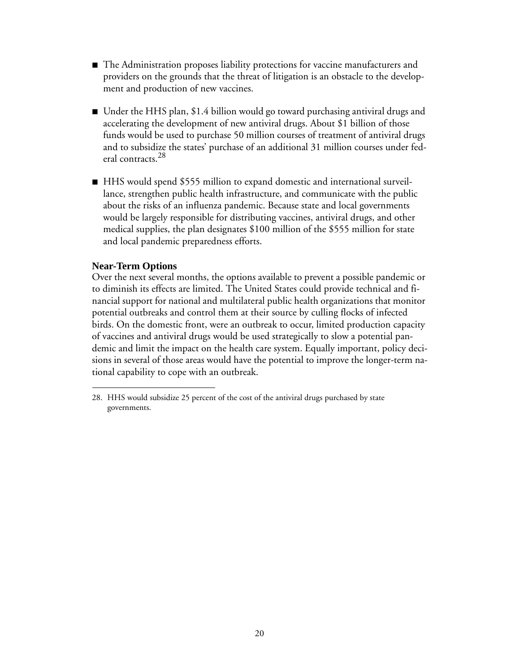- The Administration proposes liability protections for vaccine manufacturers and providers on the grounds that the threat of litigation is an obstacle to the development and production of new vaccines.
- $\blacksquare$  Under the HHS plan, \$1.4 billion would go toward purchasing antiviral drugs and accelerating the development of new antiviral drugs. About \$1 billion of those funds would be used to purchase 50 million courses of treatment of antiviral drugs and to subsidize the states' purchase of an additional 31 million courses under federal contracts.<sup>28</sup>
- HHS would spend \$555 million to expand domestic and international surveillance, strengthen public health infrastructure, and communicate with the public about the risks of an influenza pandemic. Because state and local governments would be largely responsible for distributing vaccines, antiviral drugs, and other medical supplies, the plan designates \$100 million of the \$555 million for state and local pandemic preparedness efforts.

### **Near-Term Options**

Over the next several months, the options available to prevent a possible pandemic or to diminish its effects are limited. The United States could provide technical and financial support for national and multilateral public health organizations that monitor potential outbreaks and control them at their source by culling flocks of infected birds. On the domestic front, were an outbreak to occur, limited production capacity of vaccines and antiviral drugs would be used strategically to slow a potential pandemic and limit the impact on the health care system. Equally important, policy decisions in several of those areas would have the potential to improve the longer-term national capability to cope with an outbreak.

<sup>28.</sup> HHS would subsidize 25 percent of the cost of the antiviral drugs purchased by state governments.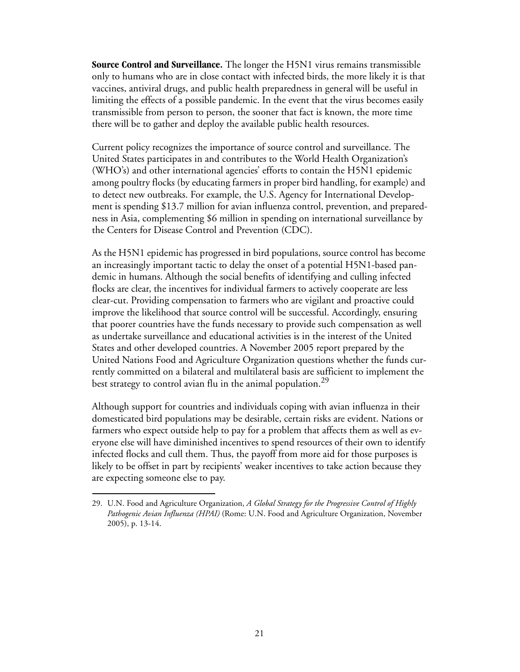**Source Control and Surveillance.** The longer the H5N1 virus remains transmissible only to humans who are in close contact with infected birds, the more likely it is that vaccines, antiviral drugs, and public health preparedness in general will be useful in limiting the effects of a possible pandemic. In the event that the virus becomes easily transmissible from person to person, the sooner that fact is known, the more time there will be to gather and deploy the available public health resources.

Current policy recognizes the importance of source control and surveillance. The United States participates in and contributes to the World Health Organization's (WHO's) and other international agencies' efforts to contain the H5N1 epidemic among poultry flocks (by educating farmers in proper bird handling, for example) and to detect new outbreaks. For example, the U.S. Agency for International Development is spending \$13.7 million for avian influenza control, prevention, and preparedness in Asia, complementing \$6 million in spending on international surveillance by the Centers for Disease Control and Prevention (CDC).

As the H5N1 epidemic has progressed in bird populations, source control has become an increasingly important tactic to delay the onset of a potential H5N1-based pandemic in humans. Although the social benefits of identifying and culling infected flocks are clear, the incentives for individual farmers to actively cooperate are less clear-cut. Providing compensation to farmers who are vigilant and proactive could improve the likelihood that source control will be successful. Accordingly, ensuring that poorer countries have the funds necessary to provide such compensation as well as undertake surveillance and educational activities is in the interest of the United States and other developed countries. A November 2005 report prepared by the United Nations Food and Agriculture Organization questions whether the funds currently committed on a bilateral and multilateral basis are sufficient to implement the best strategy to control avian flu in the animal population.<sup>29</sup>

Although support for countries and individuals coping with avian influenza in their domesticated bird populations may be desirable, certain risks are evident. Nations or farmers who expect outside help to pay for a problem that affects them as well as everyone else will have diminished incentives to spend resources of their own to identify infected flocks and cull them. Thus, the payoff from more aid for those purposes is likely to be offset in part by recipients' weaker incentives to take action because they are expecting someone else to pay.

<sup>29.</sup> U.N. Food and Agriculture Organization, *A Global Strategy for the Progressive Control of Highly Pathogenic Avian Influenza (HPAI)* (Rome: U.N. Food and Agriculture Organization, November 2005), p. 13-14.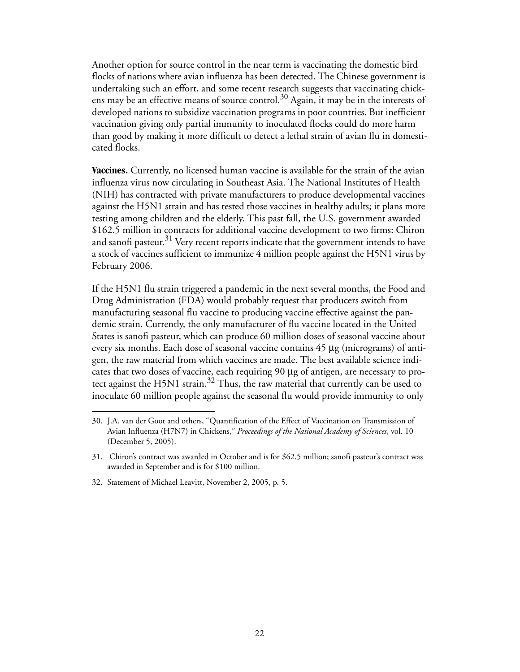Another option for source control in the near term is vaccinating the domestic bird flocks of nations where avian influenza has been detected. The Chinese government is undertaking such an effort, and some recent research suggests that vaccinating chickens may be an effective means of source control.<sup>30</sup> Again, it may be in the interests of developed nations to subsidize vaccination programs in poor countries. But inefficient vaccination giving only partial immunity to inoculated flocks could do more harm than good by making it more difficult to detect a lethal strain of avian flu in domesticated flocks.

**Vaccines.** Currently, no licensed human vaccine is available for the strain of the avian influenza virus now circulating in Southeast Asia. The National Institutes of Health (NIH) has contracted with private manufacturers to produce developmental vaccines against the H5N1 strain and has tested those vaccines in healthy adults; it plans more testing among children and the elderly. This past fall, the U.S. government awarded \$162.5 million in contracts for additional vaccine development to two firms: Chiron and sanofi pasteur. $31$  Very recent reports indicate that the government intends to have a stock of vaccines sufficient to immunize 4 million people against the H5N1 virus by February 2006.

If the H5N1 flu strain triggered a pandemic in the next several months, the Food and Drug Administration (FDA) would probably request that producers switch from manufacturing seasonal flu vaccine to producing vaccine effective against the pandemic strain. Currently, the only manufacturer of flu vaccine located in the United States is sanofi pasteur, which can produce 60 million doses of seasonal vaccine about every six months. Each dose of seasonal vaccine contains 45 μg (micrograms) of antigen, the raw material from which vaccines are made. The best available science indicates that two doses of vaccine, each requiring 90 μg of antigen, are necessary to protect against the H5N1 strain.32 Thus, the raw material that currently can be used to inoculate 60 million people against the seasonal flu would provide immunity to only

<sup>30.</sup> J.A. van der Goot and others, "Quantification of the Effect of Vaccination on Transmission of Avian Influenza (H7N7) in Chickens," *Proceedings of the National Academy of Sciences*, vol. 10 (December 5, 2005).

<sup>31.</sup> Chiron's contract was awarded in October and is for \$62.5 million; sanofi pasteur's contract was awarded in September and is for \$100 million.

<sup>32.</sup> Statement of Michael Leavitt, November 2, 2005, p. 5.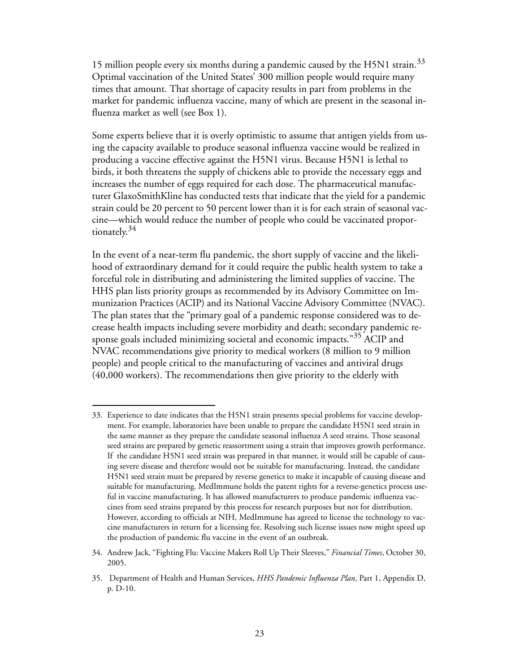15 million people every six months during a pandemic caused by the H5N1 strain.<sup>33</sup> Optimal vaccination of the United States' 300 million people would require many times that amount. That shortage of capacity results in part from problems in the market for pandemic influenza vaccine, many of which are present in the seasonal influenza market as well (see [Box 1](#page-29-0)).

Some experts believe that it is overly optimistic to assume that antigen yields from using the capacity available to produce seasonal influenza vaccine would be realized in producing a vaccine effective against the H5N1 virus. Because H5N1 is lethal to birds, it both threatens the supply of chickens able to provide the necessary eggs and increases the number of eggs required for each dose. The pharmaceutical manufacturer GlaxoSmithKline has conducted tests that indicate that the yield for a pandemic strain could be 20 percent to 50 percent lower than it is for each strain of seasonal vaccine—which would reduce the number of people who could be vaccinated proportionately.<sup>34</sup>

In the event of a near-term flu pandemic, the short supply of vaccine and the likelihood of extraordinary demand for it could require the public health system to take a forceful role in distributing and administering the limited supplies of vaccine. The HHS plan lists priority groups as recommended by its Advisory Committee on Immunization Practices (ACIP) and its National Vaccine Advisory Committee (NVAC). The plan states that the "primary goal of a pandemic response considered was to decrease health impacts including severe morbidity and death; secondary pandemic response goals included minimizing societal and economic impacts."<sup>35</sup> ACIP and NVAC recommendations give priority to medical workers (8 million to 9 million people) and people critical to the manufacturing of vaccines and antiviral drugs (40,000 workers). The recommendations then give priority to the elderly with

<sup>33.</sup> Experience to date indicates that the H5N1 strain presents special problems for vaccine development. For example, laboratories have been unable to prepare the candidate H5N1 seed strain in the same manner as they prepare the candidate seasonal influenza A seed strains. Those seasonal seed strains are prepared by genetic reassortment using a strain that improves growth performance. If the candidate H5N1 seed strain was prepared in that manner, it would still be capable of causing severe disease and therefore would not be suitable for manufacturing. Instead, the candidate H5N1 seed strain must be prepared by reverse genetics to make it incapable of causing disease and suitable for manufacturing. MedImmune holds the patent rights for a reverse-genetics process useful in vaccine manufacturing. It has allowed manufacturers to produce pandemic influenza vaccines from seed strains prepared by this process for research purposes but not for distribution. However, according to officials at NIH, MedImmune has agreed to license the technology to vaccine manufacturers in return for a licensing fee. Resolving such license issues now might speed up the production of pandemic flu vaccine in the event of an outbreak.

<sup>34.</sup> Andrew Jack, "Fighting Flu: Vaccine Makers Roll Up Their Sleeves," *Financial Times*, October 30, 2005.

<sup>35.</sup> Department of Health and Human Services, *HHS Pandemic Influenza Plan*, Part 1, Appendix D, p. D-10.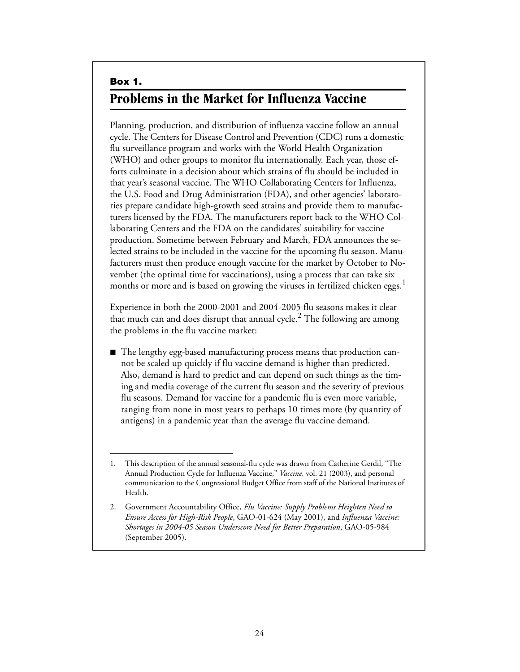# <span id="page-29-1"></span><span id="page-29-0"></span>**Box 1. Problems in the Market for Influenza Vaccine**

Planning, production, and distribution of influenza vaccine follow an annual cycle. The Centers for Disease Control and Prevention (CDC) runs a domestic flu surveillance program and works with the World Health Organization (WHO) and other groups to monitor flu internationally. Each year, those efforts culminate in a decision about which strains of flu should be included in that year's seasonal vaccine. The WHO Collaborating Centers for Influenza, the U.S. Food and Drug Administration (FDA), and other agencies' laboratories prepare candidate high-growth seed strains and provide them to manufacturers licensed by the FDA. The manufacturers report back to the WHO Collaborating Centers and the FDA on the candidates' suitability for vaccine production. Sometime between February and March, FDA announces the selected strains to be included in the vaccine for the upcoming flu season. Manufacturers must then produce enough vaccine for the market by October to November (the optimal time for vaccinations), using a process that can take six months or more and is based on growing the viruses in fertilized chicken eggs.<sup>1</sup>

Experience in both the 2000-2001 and 2004-2005 flu seasons makes it clear that much can and does disrupt that annual cycle. $^2$  The following are among the problems in the flu vaccine market:

■ The lengthy egg-based manufacturing process means that production cannot be scaled up quickly if flu vaccine demand is higher than predicted. Also, demand is hard to predict and can depend on such things as the timing and media coverage of the current flu season and the severity of previous flu seasons. Demand for vaccine for a pandemic flu is even more variable, ranging from none in most years to perhaps 10 times more (by quantity of antigens) in a pandemic year than the average flu vaccine demand.

<sup>1.</sup> This description of the annual seasonal-flu cycle was drawn from Catherine Gerdil, "The Annual Production Cycle for Influenza Vaccine," *Vaccine,* vol. 21 (2003), and personal communication to the Congressional Budget Office from staff of the National Institutes of Health.

<sup>2.</sup> Government Accountability Office, *Flu Vaccine: Supply Problems Heighten Need to Ensure Access for High-Risk People*, GAO-01-624 (May 2001), and *Influenza Vaccine: Shortages in 2004-05 Season Underscore Need for Better Preparation*, GAO-05-984 (September 2005).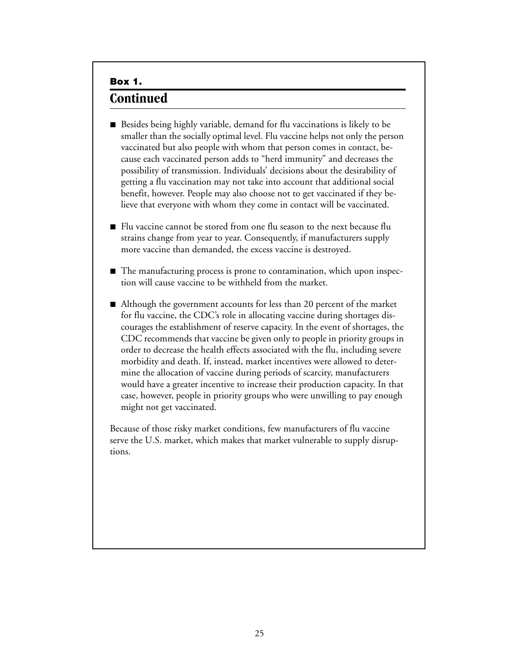### **Box 1. Continued**

- $\blacksquare$  Besides being highly variable, demand for flu vaccinations is likely to be smaller than the socially optimal level. Flu vaccine helps not only the person vaccinated but also people with whom that person comes in contact, because each vaccinated person adds to "herd immunity" and decreases the possibility of transmission. Individuals' decisions about the desirability of getting a flu vaccination may not take into account that additional social benefit, however. People may also choose not to get vaccinated if they believe that everyone with whom they come in contact will be vaccinated.
- $\blacksquare$  Flu vaccine cannot be stored from one flu season to the next because flu strains change from year to year. Consequently, if manufacturers supply more vaccine than demanded, the excess vaccine is destroyed.
- The manufacturing process is prone to contamination, which upon inspection will cause vaccine to be withheld from the market.
- $\blacksquare$  Although the government accounts for less than 20 percent of the market for flu vaccine, the CDC's role in allocating vaccine during shortages discourages the establishment of reserve capacity. In the event of shortages, the CDC recommends that vaccine be given only to people in priority groups in order to decrease the health effects associated with the flu, including severe morbidity and death. If, instead, market incentives were allowed to determine the allocation of vaccine during periods of scarcity, manufacturers would have a greater incentive to increase their production capacity. In that case, however, people in priority groups who were unwilling to pay enough might not get vaccinated.

Because of those risky market conditions, few manufacturers of flu vaccine serve the U.S. market, which makes that market vulnerable to supply disruptions.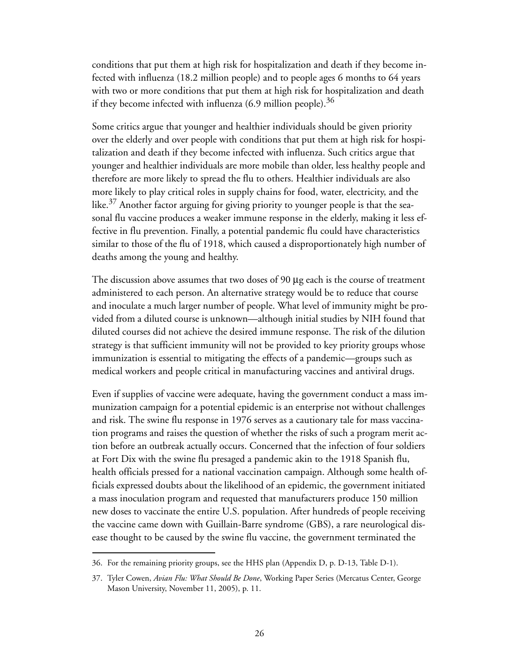conditions that put them at high risk for hospitalization and death if they become infected with influenza (18.2 million people) and to people ages 6 months to 64 years with two or more conditions that put them at high risk for hospitalization and death if they become infected with influenza  $(6.9 \text{ million people})$ .<sup>36</sup>

Some critics argue that younger and healthier individuals should be given priority over the elderly and over people with conditions that put them at high risk for hospitalization and death if they become infected with influenza. Such critics argue that younger and healthier individuals are more mobile than older, less healthy people and therefore are more likely to spread the flu to others. Healthier individuals are also more likely to play critical roles in supply chains for food, water, electricity, and the like.<sup>37</sup> Another factor arguing for giving priority to younger people is that the seasonal flu vaccine produces a weaker immune response in the elderly, making it less effective in flu prevention. Finally, a potential pandemic flu could have characteristics similar to those of the flu of 1918, which caused a disproportionately high number of deaths among the young and healthy.

The discussion above assumes that two doses of 90 μg each is the course of treatment administered to each person. An alternative strategy would be to reduce that course and inoculate a much larger number of people. What level of immunity might be provided from a diluted course is unknown—although initial studies by NIH found that diluted courses did not achieve the desired immune response. The risk of the dilution strategy is that sufficient immunity will not be provided to key priority groups whose immunization is essential to mitigating the effects of a pandemic—groups such as medical workers and people critical in manufacturing vaccines and antiviral drugs.

Even if supplies of vaccine were adequate, having the government conduct a mass immunization campaign for a potential epidemic is an enterprise not without challenges and risk. The swine flu response in 1976 serves as a cautionary tale for mass vaccination programs and raises the question of whether the risks of such a program merit action before an outbreak actually occurs. Concerned that the infection of four soldiers at Fort Dix with the swine flu presaged a pandemic akin to the 1918 Spanish flu, health officials pressed for a national vaccination campaign. Although some health officials expressed doubts about the likelihood of an epidemic, the government initiated a mass inoculation program and requested that manufacturers produce 150 million new doses to vaccinate the entire U.S. population. After hundreds of people receiving the vaccine came down with Guillain-Barre syndrome (GBS), a rare neurological disease thought to be caused by the swine flu vaccine, the government terminated the

<sup>36.</sup> For the remaining priority groups, see the HHS plan (Appendix D, p. D-13, Table D-1).

<sup>37.</sup> Tyler Cowen, *Avian Flu: What Should Be Done*, Working Paper Series (Mercatus Center, George Mason University, November 11, 2005), p. 11.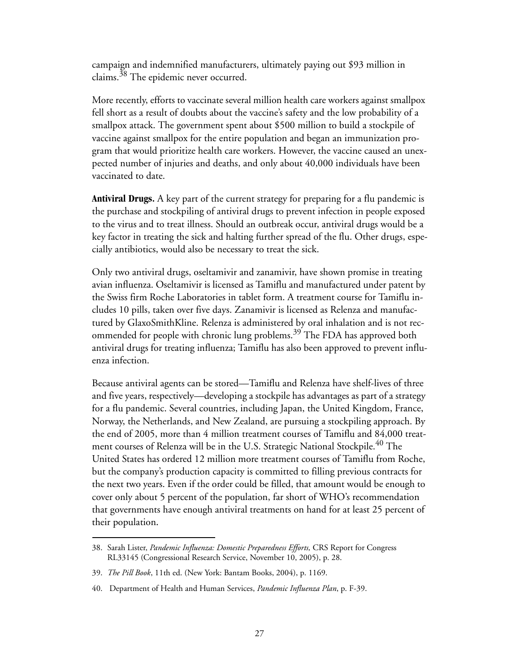campaign and indemnified manufacturers, ultimately paying out \$93 million in claims. $38$  The epidemic never occurred.

More recently, efforts to vaccinate several million health care workers against smallpox fell short as a result of doubts about the vaccine's safety and the low probability of a smallpox attack. The government spent about \$500 million to build a stockpile of vaccine against smallpox for the entire population and began an immunization program that would prioritize health care workers. However, the vaccine caused an unexpected number of injuries and deaths, and only about 40,000 individuals have been vaccinated to date.

**Antiviral Drugs.** A key part of the current strategy for preparing for a flu pandemic is the purchase and stockpiling of antiviral drugs to prevent infection in people exposed to the virus and to treat illness. Should an outbreak occur, antiviral drugs would be a key factor in treating the sick and halting further spread of the flu. Other drugs, especially antibiotics, would also be necessary to treat the sick.

Only two antiviral drugs, oseltamivir and zanamivir, have shown promise in treating avian influenza. Oseltamivir is licensed as Tamiflu and manufactured under patent by the Swiss firm Roche Laboratories in tablet form. A treatment course for Tamiflu includes 10 pills, taken over five days. Zanamivir is licensed as Relenza and manufactured by GlaxoSmithKline. Relenza is administered by oral inhalation and is not recommended for people with chronic lung problems.<sup>39</sup> The FDA has approved both antiviral drugs for treating influenza; Tamiflu has also been approved to prevent influenza infection.

Because antiviral agents can be stored—Tamiflu and Relenza have shelf-lives of three and five years, respectively—developing a stockpile has advantages as part of a strategy for a flu pandemic. Several countries, including Japan, the United Kingdom, France, Norway, the Netherlands, and New Zealand, are pursuing a stockpiling approach. By the end of 2005, more than 4 million treatment courses of Tamiflu and 84,000 treatment courses of Relenza will be in the U.S. Strategic National Stockpile.<sup>40</sup> The United States has ordered 12 million more treatment courses of Tamiflu from Roche, but the company's production capacity is committed to filling previous contracts for the next two years. Even if the order could be filled, that amount would be enough to cover only about 5 percent of the population, far short of WHO's recommendation that governments have enough antiviral treatments on hand for at least 25 percent of their population.

<sup>38.</sup> Sarah Lister, *Pandemic Influenza: Domestic Preparedness Efforts,* CRS Report for Congress RL33145 (Congressional Research Service, November 10, 2005), p. 28.

<sup>39.</sup> *The Pill Book*, 11th ed. (New York: Bantam Books, 2004), p. 1169.

<sup>40.</sup> Department of Health and Human Services, *Pandemic Influenza Plan*, p. F-39.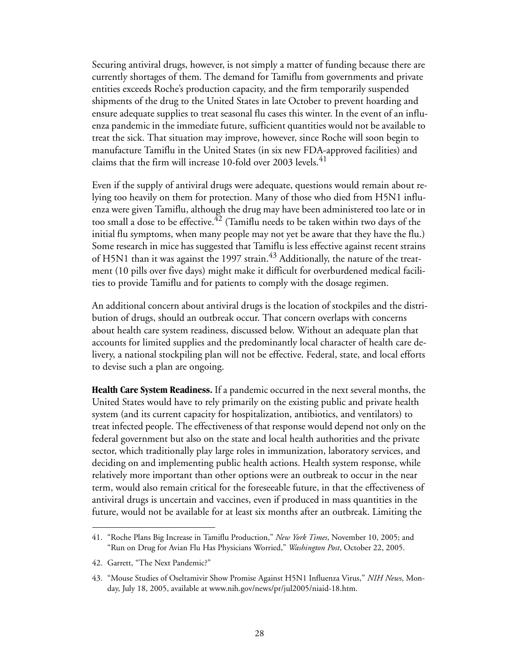Securing antiviral drugs, however, is not simply a matter of funding because there are currently shortages of them. The demand for Tamiflu from governments and private entities exceeds Roche's production capacity, and the firm temporarily suspended shipments of the drug to the United States in late October to prevent hoarding and ensure adequate supplies to treat seasonal flu cases this winter. In the event of an influenza pandemic in the immediate future, sufficient quantities would not be available to treat the sick. That situation may improve, however, since Roche will soon begin to manufacture Tamiflu in the United States (in six new FDA-approved facilities) and claims that the firm will increase 10-fold over 2003 levels. $41$ 

Even if the supply of antiviral drugs were adequate, questions would remain about relying too heavily on them for protection. Many of those who died from H5N1 influenza were given Tamiflu, although the drug may have been administered too late or in too small a dose to be effective.<sup> $42$ </sup> (Tamiflu needs to be taken within two days of the initial flu symptoms, when many people may not yet be aware that they have the flu.) Some research in mice has suggested that Tamiflu is less effective against recent strains of H5N1 than it was against the 1997 strain.<sup>43</sup> Additionally, the nature of the treatment (10 pills over five days) might make it difficult for overburdened medical facilities to provide Tamiflu and for patients to comply with the dosage regimen.

An additional concern about antiviral drugs is the location of stockpiles and the distribution of drugs, should an outbreak occur. That concern overlaps with concerns about health care system readiness, discussed below. Without an adequate plan that accounts for limited supplies and the predominantly local character of health care delivery, a national stockpiling plan will not be effective. Federal, state, and local efforts to devise such a plan are ongoing.

**Health Care System Readiness.** If a pandemic occurred in the next several months, the United States would have to rely primarily on the existing public and private health system (and its current capacity for hospitalization, antibiotics, and ventilators) to treat infected people. The effectiveness of that response would depend not only on the federal government but also on the state and local health authorities and the private sector, which traditionally play large roles in immunization, laboratory services, and deciding on and implementing public health actions. Health system response, while relatively more important than other options were an outbreak to occur in the near term, would also remain critical for the foreseeable future, in that the effectiveness of antiviral drugs is uncertain and vaccines, even if produced in mass quantities in the future, would not be available for at least six months after an outbreak. Limiting the

<sup>41. &</sup>quot;Roche Plans Big Increase in Tamiflu Production," *New York Times*, November 10, 2005; and "Run on Drug for Avian Flu Has Physicians Worried," *Washington Post*, October 22, 2005.

<sup>42.</sup> Garrett, "The Next Pandemic?"

<sup>43. &</sup>quot;Mouse Studies of Oseltamivir Show Promise Against H5N1 Influenza Virus," *NIH News*, Monday, July 18, 2005, available at www.nih.gov/news/pr/jul2005/niaid-18.htm.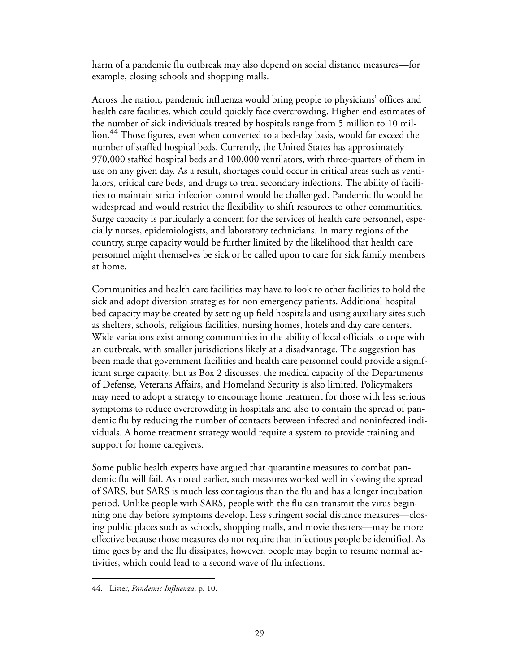harm of a pandemic flu outbreak may also depend on social distance measures—for example, closing schools and shopping malls.

Across the nation, pandemic influenza would bring people to physicians' offices and health care facilities, which could quickly face overcrowding. Higher-end estimates of the number of sick individuals treated by hospitals range from 5 million to 10 million.<sup>44</sup> Those figures, even when converted to a bed-day basis, would far exceed the number of staffed hospital beds. Currently, the United States has approximately 970,000 staffed hospital beds and 100,000 ventilators, with three-quarters of them in use on any given day. As a result, shortages could occur in critical areas such as ventilators, critical care beds, and drugs to treat secondary infections. The ability of facilities to maintain strict infection control would be challenged. Pandemic flu would be widespread and would restrict the flexibility to shift resources to other communities. Surge capacity is particularly a concern for the services of health care personnel, especially nurses, epidemiologists, and laboratory technicians. In many regions of the country, surge capacity would be further limited by the likelihood that health care personnel might themselves be sick or be called upon to care for sick family members at home.

Communities and health care facilities may have to look to other facilities to hold the sick and adopt diversion strategies for non emergency patients. Additional hospital bed capacity may be created by setting up field hospitals and using auxiliary sites such as shelters, schools, religious facilities, nursing homes, hotels and day care centers. Wide variations exist among communities in the ability of local officials to cope with an outbreak, with smaller jurisdictions likely at a disadvantage. The suggestion has been made that government facilities and health care personnel could provide a significant surge capacity, but as [Box 2](#page-35-0) discusses, the medical capacity of the Departments of Defense, Veterans Affairs, and Homeland Security is also limited. Policymakers may need to adopt a strategy to encourage home treatment for those with less serious symptoms to reduce overcrowding in hospitals and also to contain the spread of pandemic flu by reducing the number of contacts between infected and noninfected individuals. A home treatment strategy would require a system to provide training and support for home caregivers.

Some public health experts have argued that quarantine measures to combat pandemic flu will fail. As noted earlier, such measures worked well in slowing the spread of SARS, but SARS is much less contagious than the flu and has a longer incubation period. Unlike people with SARS, people with the flu can transmit the virus beginning one day before symptoms develop. Less stringent social distance measures—closing public places such as schools, shopping malls, and movie theaters—may be more effective because those measures do not require that infectious people be identified. As time goes by and the flu dissipates, however, people may begin to resume normal activities, which could lead to a second wave of flu infections.

<sup>44.</sup> Lister, *Pandemic Influenza*, p. 10.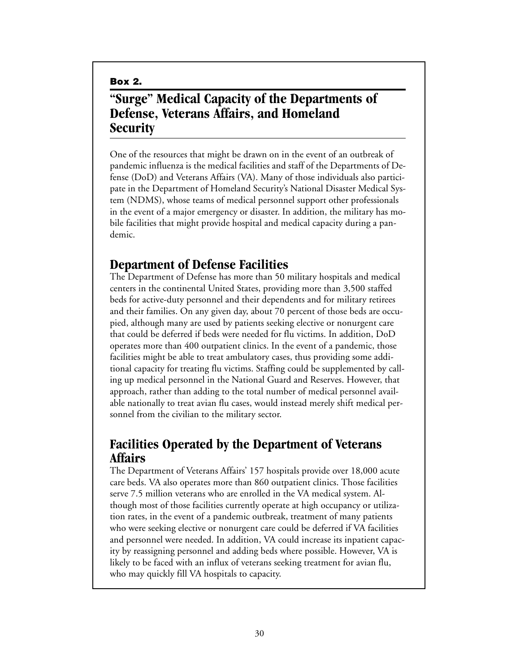<span id="page-35-0"></span>**Box 2.**

# <span id="page-35-1"></span>**"Surge" Medical Capacity of the Departments of Defense, Veterans Affairs, and Homeland Security**

One of the resources that might be drawn on in the event of an outbreak of pandemic influenza is the medical facilities and staff of the Departments of Defense (DoD) and Veterans Affairs (VA). Many of those individuals also participate in the Department of Homeland Security's National Disaster Medical System (NDMS), whose teams of medical personnel support other professionals in the event of a major emergency or disaster. In addition, the military has mobile facilities that might provide hospital and medical capacity during a pandemic.

### **Department of Defense Facilities**

The Department of Defense has more than 50 military hospitals and medical centers in the continental United States, providing more than 3,500 staffed beds for active-duty personnel and their dependents and for military retirees and their families. On any given day, about 70 percent of those beds are occupied, although many are used by patients seeking elective or nonurgent care that could be deferred if beds were needed for flu victims. In addition, DoD operates more than 400 outpatient clinics. In the event of a pandemic, those facilities might be able to treat ambulatory cases, thus providing some additional capacity for treating flu victims. Staffing could be supplemented by calling up medical personnel in the National Guard and Reserves. However, that approach, rather than adding to the total number of medical personnel available nationally to treat avian flu cases, would instead merely shift medical personnel from the civilian to the military sector.

# **Facilities Operated by the Department of Veterans Affairs**

The Department of Veterans Affairs' 157 hospitals provide over 18,000 acute care beds. VA also operates more than 860 outpatient clinics. Those facilities serve 7.5 million veterans who are enrolled in the VA medical system. Although most of those facilities currently operate at high occupancy or utilization rates, in the event of a pandemic outbreak, treatment of many patients who were seeking elective or nonurgent care could be deferred if VA facilities and personnel were needed. In addition, VA could increase its inpatient capacity by reassigning personnel and adding beds where possible. However, VA is likely to be faced with an influx of veterans seeking treatment for avian flu, who may quickly fill VA hospitals to capacity.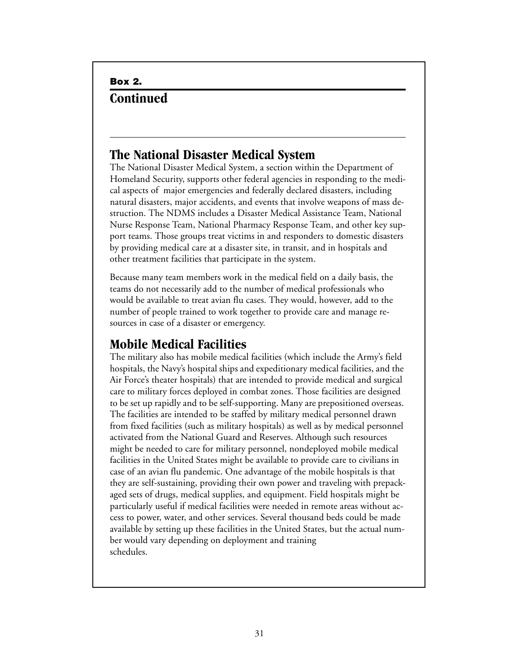# **Box 2. Continued**

### **The National Disaster Medical System**

The National Disaster Medical System, a section within the Department of Homeland Security, supports other federal agencies in responding to the medical aspects of major emergencies and federally declared disasters, including natural disasters, major accidents, and events that involve weapons of mass destruction. The NDMS includes a Disaster Medical Assistance Team, National Nurse Response Team, National Pharmacy Response Team, and other key support teams. Those groups treat victims in and responders to domestic disasters by providing medical care at a disaster site, in transit, and in hospitals and other treatment facilities that participate in the system.

Because many team members work in the medical field on a daily basis, the teams do not necessarily add to the number of medical professionals who would be available to treat avian flu cases. They would, however, add to the number of people trained to work together to provide care and manage resources in case of a disaster or emergency.

# **Mobile Medical Facilities**

The military also has mobile medical facilities (which include the Army's field hospitals, the Navy's hospital ships and expeditionary medical facilities, and the Air Force's theater hospitals) that are intended to provide medical and surgical care to military forces deployed in combat zones. Those facilities are designed to be set up rapidly and to be self-supporting. Many are prepositioned overseas. The facilities are intended to be staffed by military medical personnel drawn from fixed facilities (such as military hospitals) as well as by medical personnel activated from the National Guard and Reserves. Although such resources might be needed to care for military personnel, nondeployed mobile medical facilities in the United States might be available to provide care to civilians in case of an avian flu pandemic. One advantage of the mobile hospitals is that they are self-sustaining, providing their own power and traveling with prepackaged sets of drugs, medical supplies, and equipment. Field hospitals might be particularly useful if medical facilities were needed in remote areas without access to power, water, and other services. Several thousand beds could be made available by setting up these facilities in the United States, but the actual number would vary depending on deployment and training schedules.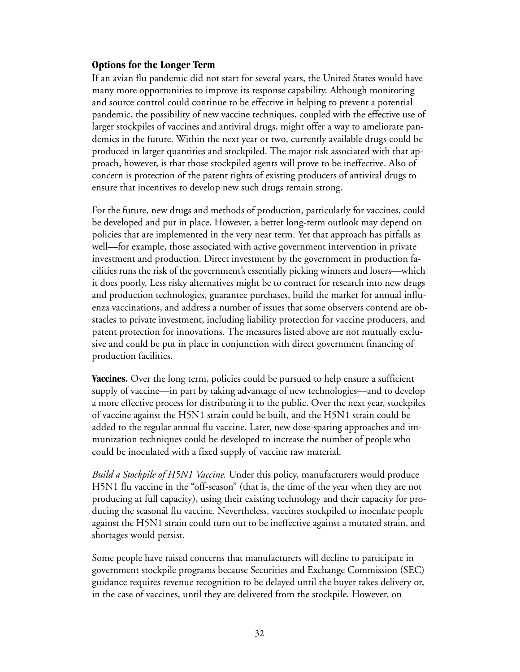### <span id="page-37-0"></span>**Options for the Longer Term**

If an avian flu pandemic did not start for several years, the United States would have many more opportunities to improve its response capability. Although monitoring and source control could continue to be effective in helping to prevent a potential pandemic, the possibility of new vaccine techniques, coupled with the effective use of larger stockpiles of vaccines and antiviral drugs, might offer a way to ameliorate pandemics in the future. Within the next year or two, currently available drugs could be produced in larger quantities and stockpiled. The major risk associated with that approach, however, is that those stockpiled agents will prove to be ineffective. Also of concern is protection of the patent rights of existing producers of antiviral drugs to ensure that incentives to develop new such drugs remain strong.

For the future, new drugs and methods of production, particularly for vaccines, could be developed and put in place. However, a better long-term outlook may depend on policies that are implemented in the very near term. Yet that approach has pitfalls as well—for example, those associated with active government intervention in private investment and production. Direct investment by the government in production facilities runs the risk of the government's essentially picking winners and losers—which it does poorly. Less risky alternatives might be to contract for research into new drugs and production technologies, guarantee purchases, build the market for annual influenza vaccinations, and address a number of issues that some observers contend are obstacles to private investment, including liability protection for vaccine producers, and patent protection for innovations. The measures listed above are not mutually exclusive and could be put in place in conjunction with direct government financing of production facilities.

**Vaccines.** Over the long term, policies could be pursued to help ensure a sufficient supply of vaccine—in part by taking advantage of new technologies—and to develop a more effective process for distributing it to the public. Over the next year, stockpiles of vaccine against the H5N1 strain could be built, and the H5N1 strain could be added to the regular annual flu vaccine. Later, new dose-sparing approaches and immunization techniques could be developed to increase the number of people who could be inoculated with a fixed supply of vaccine raw material.

*Build a Stockpile of H5N1 Vaccine.* Under this policy, manufacturers would produce H5N1 flu vaccine in the "off-season" (that is, the time of the year when they are not producing at full capacity), using their existing technology and their capacity for producing the seasonal flu vaccine. Nevertheless, vaccines stockpiled to inoculate people against the H5N1 strain could turn out to be ineffective against a mutated strain, and shortages would persist.

Some people have raised concerns that manufacturers will decline to participate in government stockpile programs because Securities and Exchange Commission (SEC) guidance requires revenue recognition to be delayed until the buyer takes delivery or, in the case of vaccines, until they are delivered from the stockpile. However, on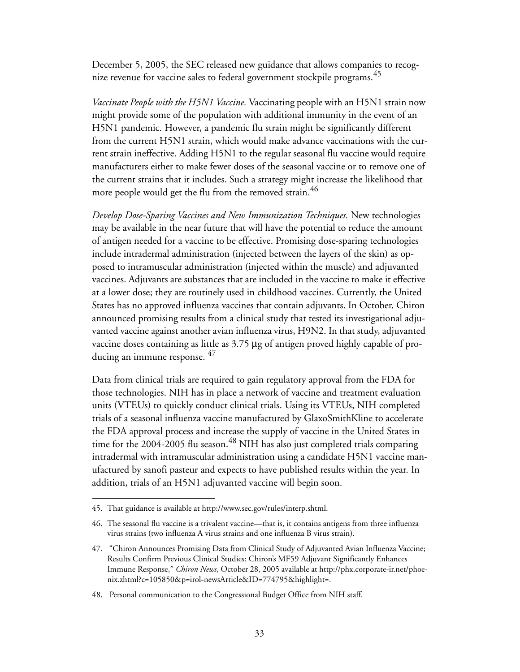December 5, 2005, the SEC released new guidance that allows companies to recognize revenue for vaccine sales to federal government stockpile programs.<sup>45</sup>

*Vaccinate People with the H5N1 Vaccine.* Vaccinating people with an H5N1 strain now might provide some of the population with additional immunity in the event of an H5N1 pandemic. However, a pandemic flu strain might be significantly different from the current H5N1 strain, which would make advance vaccinations with the current strain ineffective. Adding H5N1 to the regular seasonal flu vaccine would require manufacturers either to make fewer doses of the seasonal vaccine or to remove one of the current strains that it includes. Such a strategy might increase the likelihood that more people would get the flu from the removed strain.<sup>46</sup>

*Develop Dose-Sparing Vaccines and New Immunization Techniques.* New technologies may be available in the near future that will have the potential to reduce the amount of antigen needed for a vaccine to be effective. Promising dose-sparing technologies include intradermal administration (injected between the layers of the skin) as opposed to intramuscular administration (injected within the muscle) and adjuvanted vaccines. Adjuvants are substances that are included in the vaccine to make it effective at a lower dose; they are routinely used in childhood vaccines. Currently, the United States has no approved influenza vaccines that contain adjuvants. In October, Chiron announced promising results from a clinical study that tested its investigational adjuvanted vaccine against another avian influenza virus, H9N2. In that study, adjuvanted vaccine doses containing as little as 3.75 μg of antigen proved highly capable of producing an immune response. <sup>47</sup>

Data from clinical trials are required to gain regulatory approval from the FDA for those technologies. NIH has in place a network of vaccine and treatment evaluation units (VTEUs) to quickly conduct clinical trials. Using its VTEUs, NIH completed trials of a seasonal influenza vaccine manufactured by GlaxoSmithKline to accelerate the FDA approval process and increase the supply of vaccine in the United States in time for the 2004-2005 flu season.<sup>48</sup> NIH has also just completed trials comparing intradermal with intramuscular administration using a candidate H5N1 vaccine manufactured by sanofi pasteur and expects to have published results within the year. In addition, trials of an H5N1 adjuvanted vaccine will begin soon.

<sup>45.</sup> That guidance is available at http://www.sec.gov/rules/interp.shtml.

<sup>46.</sup> The seasonal flu vaccine is a trivalent vaccine—that is, it contains antigens from three influenza virus strains (two influenza A virus strains and one influenza B virus strain).

<sup>47. &</sup>quot;Chiron Announces Promising Data from Clinical Study of Adjuvanted Avian Influenza Vaccine; Results Confirm Previous Clinical Studies: Chiron's MF59 Adjuvant Significantly Enhances Immune Response," *Chiron News*, October 28, 2005 available at http://phx.corporate-ir.net/phoenix.zhtml?c=105850&p=irol-newsArticle&ID=774795&highlight=.

<sup>48.</sup> Personal communication to the Congressional Budget Office from NIH staff.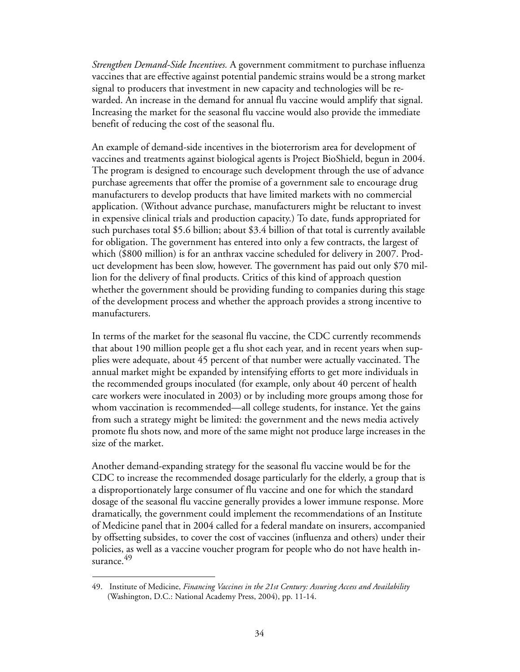*Strengthen Demand-Side Incentives.* A government commitment to purchase influenza vaccines that are effective against potential pandemic strains would be a strong market signal to producers that investment in new capacity and technologies will be rewarded. An increase in the demand for annual flu vaccine would amplify that signal. Increasing the market for the seasonal flu vaccine would also provide the immediate benefit of reducing the cost of the seasonal flu.

An example of demand-side incentives in the bioterrorism area for development of vaccines and treatments against biological agents is Project BioShield, begun in 2004. The program is designed to encourage such development through the use of advance purchase agreements that offer the promise of a government sale to encourage drug manufacturers to develop products that have limited markets with no commercial application. (Without advance purchase, manufacturers might be reluctant to invest in expensive clinical trials and production capacity.) To date, funds appropriated for such purchases total \$5.6 billion; about \$3.4 billion of that total is currently available for obligation. The government has entered into only a few contracts, the largest of which (\$800 million) is for an anthrax vaccine scheduled for delivery in 2007. Product development has been slow, however. The government has paid out only \$70 million for the delivery of final products. Critics of this kind of approach question whether the government should be providing funding to companies during this stage of the development process and whether the approach provides a strong incentive to manufacturers.

In terms of the market for the seasonal flu vaccine, the CDC currently recommends that about 190 million people get a flu shot each year, and in recent years when supplies were adequate, about 45 percent of that number were actually vaccinated. The annual market might be expanded by intensifying efforts to get more individuals in the recommended groups inoculated (for example, only about 40 percent of health care workers were inoculated in 2003) or by including more groups among those for whom vaccination is recommended—all college students, for instance. Yet the gains from such a strategy might be limited: the government and the news media actively promote flu shots now, and more of the same might not produce large increases in the size of the market.

Another demand-expanding strategy for the seasonal flu vaccine would be for the CDC to increase the recommended dosage particularly for the elderly, a group that is a disproportionately large consumer of flu vaccine and one for which the standard dosage of the seasonal flu vaccine generally provides a lower immune response. More dramatically, the government could implement the recommendations of an Institute of Medicine panel that in 2004 called for a federal mandate on insurers, accompanied by offsetting subsides, to cover the cost of vaccines (influenza and others) under their policies, as well as a vaccine voucher program for people who do not have health insurance.<sup>49</sup>

<sup>49.</sup> Institute of Medicine, *Financing Vaccines in the 21st Century: Assuring Access and Availability* (Washington, D.C.: National Academy Press, 2004), pp. 11-14.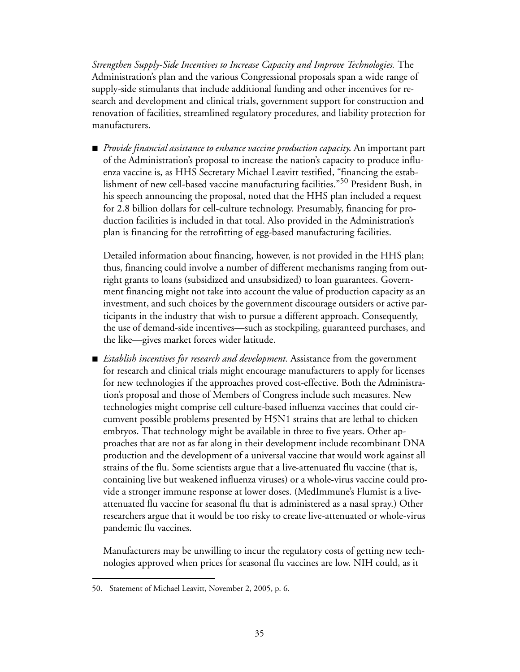*Strengthen Supply-Side Incentives to Increase Capacity and Improve Technologies.* The Administration's plan and the various Congressional proposals span a wide range of supply-side stimulants that include additional funding and other incentives for research and development and clinical trials, government support for construction and renovation of facilities, streamlined regulatory procedures, and liability protection for manufacturers.

■ *Provide financial assistance to enhance vaccine production capacity*. An important part of the Administration's proposal to increase the nation's capacity to produce influenza vaccine is, as HHS Secretary Michael Leavitt testified, "financing the establishment of new cell-based vaccine manufacturing facilities."50 President Bush, in his speech announcing the proposal, noted that the HHS plan included a request for 2.8 billion dollars for cell-culture technology. Presumably, financing for production facilities is included in that total. Also provided in the Administration's plan is financing for the retrofitting of egg-based manufacturing facilities.

Detailed information about financing, however, is not provided in the HHS plan; thus, financing could involve a number of different mechanisms ranging from outright grants to loans (subsidized and unsubsidized) to loan guarantees. Government financing might not take into account the value of production capacity as an investment, and such choices by the government discourage outsiders or active participants in the industry that wish to pursue a different approach. Consequently, the use of demand-side incentives—such as stockpiling, guaranteed purchases, and the like—gives market forces wider latitude.

**B** *Establish incentives for research and development.* Assistance from the government for research and clinical trials might encourage manufacturers to apply for licenses for new technologies if the approaches proved cost-effective. Both the Administration's proposal and those of Members of Congress include such measures. New technologies might comprise cell culture-based influenza vaccines that could circumvent possible problems presented by H5N1 strains that are lethal to chicken embryos. That technology might be available in three to five years. Other approaches that are not as far along in their development include recombinant DNA production and the development of a universal vaccine that would work against all strains of the flu. Some scientists argue that a live-attenuated flu vaccine (that is, containing live but weakened influenza viruses) or a whole-virus vaccine could provide a stronger immune response at lower doses. (MedImmune's Flumist is a liveattenuated flu vaccine for seasonal flu that is administered as a nasal spray.) Other researchers argue that it would be too risky to create live-attenuated or whole-virus pandemic flu vaccines.

Manufacturers may be unwilling to incur the regulatory costs of getting new technologies approved when prices for seasonal flu vaccines are low. NIH could, as it

<sup>50.</sup> Statement of Michael Leavitt, November 2, 2005, p. 6.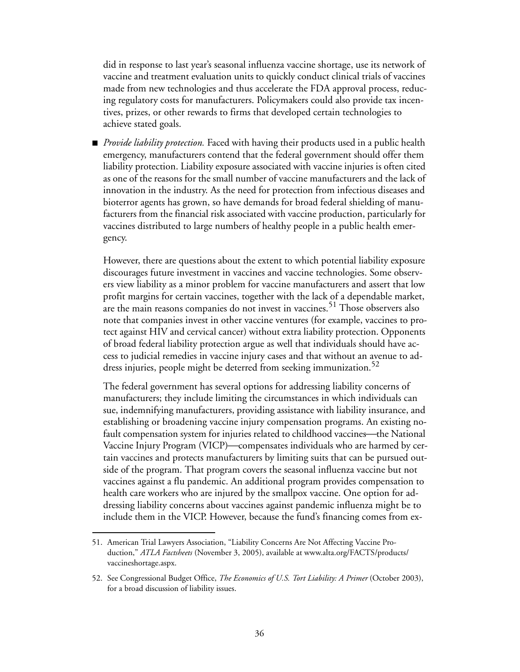did in response to last year's seasonal influenza vaccine shortage, use its network of vaccine and treatment evaluation units to quickly conduct clinical trials of vaccines made from new technologies and thus accelerate the FDA approval process, reducing regulatory costs for manufacturers. Policymakers could also provide tax incentives, prizes, or other rewards to firms that developed certain technologies to achieve stated goals.

**P** *Provide liability protection*. Faced with having their products used in a public health emergency, manufacturers contend that the federal government should offer them liability protection. Liability exposure associated with vaccine injuries is often cited as one of the reasons for the small number of vaccine manufacturers and the lack of innovation in the industry. As the need for protection from infectious diseases and bioterror agents has grown, so have demands for broad federal shielding of manufacturers from the financial risk associated with vaccine production, particularly for vaccines distributed to large numbers of healthy people in a public health emergency.

However, there are questions about the extent to which potential liability exposure discourages future investment in vaccines and vaccine technologies. Some observers view liability as a minor problem for vaccine manufacturers and assert that low profit margins for certain vaccines, together with the lack of a dependable market, are the main reasons companies do not invest in vaccines.<sup>51</sup> Those observers also note that companies invest in other vaccine ventures (for example, vaccines to protect against HIV and cervical cancer) without extra liability protection. Opponents of broad federal liability protection argue as well that individuals should have access to judicial remedies in vaccine injury cases and that without an avenue to address injuries, people might be deterred from seeking immunization.<sup>52</sup>

The federal government has several options for addressing liability concerns of manufacturers; they include limiting the circumstances in which individuals can sue, indemnifying manufacturers, providing assistance with liability insurance, and establishing or broadening vaccine injury compensation programs. An existing nofault compensation system for injuries related to childhood vaccines—the National Vaccine Injury Program (VICP)—compensates individuals who are harmed by certain vaccines and protects manufacturers by limiting suits that can be pursued outside of the program. That program covers the seasonal influenza vaccine but not vaccines against a flu pandemic. An additional program provides compensation to health care workers who are injured by the smallpox vaccine. One option for addressing liability concerns about vaccines against pandemic influenza might be to include them in the VICP. However, because the fund's financing comes from ex-

<sup>51.</sup> American Trial Lawyers Association, "Liability Concerns Are Not Affecting Vaccine Production," *ATLA Factsheets* (November 3, 2005), available at www.alta.org/FACTS/products/ vaccineshortage.aspx.

<sup>52.</sup> See Congressional Budget Office, *The Economics of U.S. Tort Liability: A Primer* (October 2003), for a broad discussion of liability issues.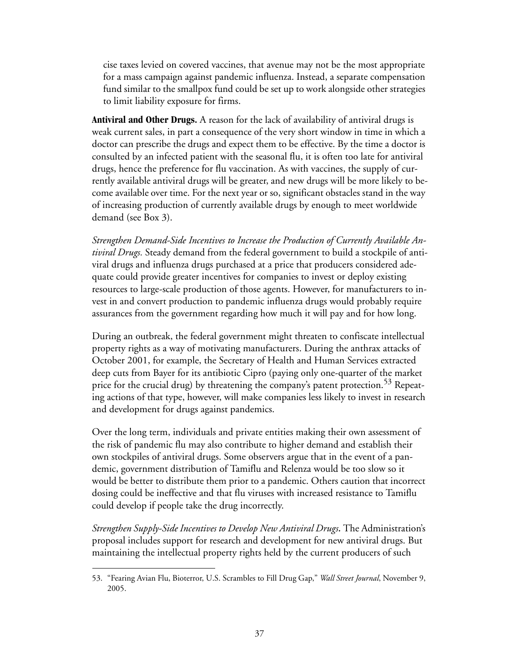cise taxes levied on covered vaccines, that avenue may not be the most appropriate for a mass campaign against pandemic influenza. Instead, a separate compensation fund similar to the smallpox fund could be set up to work alongside other strategies to limit liability exposure for firms.

**Antiviral and Other Drugs.** A reason for the lack of availability of antiviral drugs is weak current sales, in part a consequence of the very short window in time in which a doctor can prescribe the drugs and expect them to be effective. By the time a doctor is consulted by an infected patient with the seasonal flu, it is often too late for antiviral drugs, hence the preference for flu vaccination. As with vaccines, the supply of currently available antiviral drugs will be greater, and new drugs will be more likely to become available over time. For the next year or so, significant obstacles stand in the way of increasing production of currently available drugs by enough to meet worldwide demand (see [Box 3](#page-43-0)).

*Strengthen Demand-Side Incentives to Increase the Production of Currently Available Antiviral Drugs.* Steady demand from the federal government to build a stockpile of antiviral drugs and influenza drugs purchased at a price that producers considered adequate could provide greater incentives for companies to invest or deploy existing resources to large-scale production of those agents. However, for manufacturers to invest in and convert production to pandemic influenza drugs would probably require assurances from the government regarding how much it will pay and for how long.

During an outbreak, the federal government might threaten to confiscate intellectual property rights as a way of motivating manufacturers. During the anthrax attacks of October 2001, for example, the Secretary of Health and Human Services extracted deep cuts from Bayer for its antibiotic Cipro (paying only one-quarter of the market price for the crucial drug) by threatening the company's patent protection.<sup>53</sup> Repeating actions of that type, however, will make companies less likely to invest in research and development for drugs against pandemics.

Over the long term, individuals and private entities making their own assessment of the risk of pandemic flu may also contribute to higher demand and establish their own stockpiles of antiviral drugs. Some observers argue that in the event of a pandemic, government distribution of Tamiflu and Relenza would be too slow so it would be better to distribute them prior to a pandemic. Others caution that incorrect dosing could be ineffective and that flu viruses with increased resistance to Tamiflu could develop if people take the drug incorrectly.

*Strengthen Supply-Side Incentives to Develop New Antiviral Drugs.* The Administration's proposal includes support for research and development for new antiviral drugs. But maintaining the intellectual property rights held by the current producers of such

<sup>53. &</sup>quot;Fearing Avian Flu, Bioterror, U.S. Scrambles to Fill Drug Gap," *Wall Street Journal*, November 9, 2005.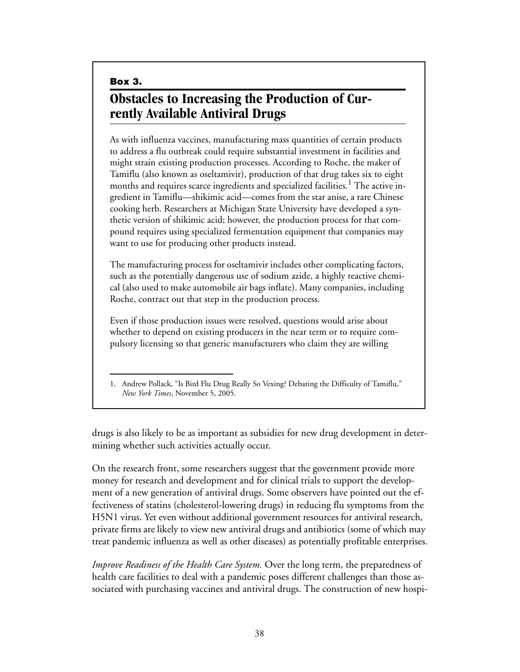<span id="page-43-0"></span>**Box 3.**

# **Obstacles to Increasing the Production of Currently Available Antiviral Drugs**

As with influenza vaccines, manufacturing mass quantities of certain products to address a flu outbreak could require substantial investment in facilities and might strain existing production processes. According to Roche, the maker of Tamiflu (also known as oseltamivir), production of that drug takes six to eight months and requires scarce ingredients and specialized facilities.<sup>1</sup> The active ingredient in Tamiflu—shikimic acid—comes from the star anise, a rare Chinese cooking herb. Researchers at Michigan State University have developed a synthetic version of shikimic acid; however, the production process for that compound requires using specialized fermentation equipment that companies may want to use for producing other products instead.

The manufacturing process for oseltamivir includes other complicating factors, such as the potentially dangerous use of sodium azide, a highly reactive chemical (also used to make automobile air bags inflate). Many companies, including Roche, contract out that step in the production process.

Even if those production issues were resolved, questions would arise about whether to depend on existing producers in the near term or to require compulsory licensing so that generic manufacturers who claim they are willing

drugs is also likely to be as important as subsidies for new drug development in determining whether such activities actually occur.

On the research front, some researchers suggest that the government provide more money for research and development and for clinical trials to support the development of a new generation of antiviral drugs. Some observers have pointed out the effectiveness of statins (cholesterol-lowering drugs) in reducing flu symptoms from the H5N1 virus. Yet even without additional government resources for antiviral research, private firms are likely to view new antiviral drugs and antibiotics (some of which may treat pandemic influenza as well as other diseases) as potentially profitable enterprises.

*Improve Readiness of the Health Care System.* Over the long term, the preparedness of health care facilities to deal with a pandemic poses different challenges than those associated with purchasing vaccines and antiviral drugs. The construction of new hospi-

<sup>1.</sup> Andrew Pollack, "Is Bird Flu Drug Really So Vexing? Debating the Difficulty of Tamiflu," *New York Times*, November 5, 2005.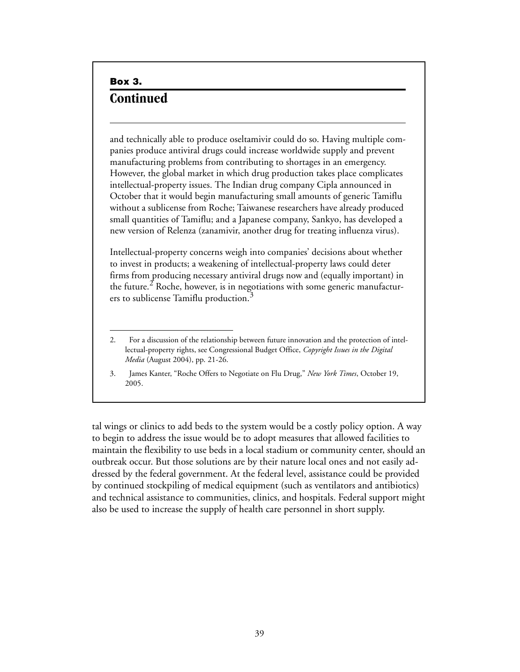### **Box 3. Continued**

and technically able to produce oseltamivir could do so. Having multiple companies produce antiviral drugs could increase worldwide supply and prevent manufacturing problems from contributing to shortages in an emergency. However, the global market in which drug production takes place complicates intellectual-property issues. The Indian drug company Cipla announced in October that it would begin manufacturing small amounts of generic Tamiflu without a sublicense from Roche; Taiwanese researchers have already produced small quantities of Tamiflu; and a Japanese company, Sankyo, has developed a new version of Relenza (zanamivir, another drug for treating influenza virus).

Intellectual-property concerns weigh into companies' decisions about whether to invest in products; a weakening of intellectual-property laws could deter firms from producing necessary antiviral drugs now and (equally important) in the future.<sup>2</sup> Roche, however, is in negotiations with some generic manufacturers to sublicense Tamiflu production.<sup>3</sup>

3. James Kanter, "Roche Offers to Negotiate on Flu Drug," *New York Times*, October 19, 2005.

tal wings or clinics to add beds to the system would be a costly policy option. A way to begin to address the issue would be to adopt measures that allowed facilities to maintain the flexibility to use beds in a local stadium or community center, should an outbreak occur. But those solutions are by their nature local ones and not easily addressed by the federal government. At the federal level, assistance could be provided by continued stockpiling of medical equipment (such as ventilators and antibiotics) and technical assistance to communities, clinics, and hospitals. Federal support might also be used to increase the supply of health care personnel in short supply.

<sup>2</sup>. For a discussion of the relationship between future innovation and the protection of intellectual-property rights, see Congressional Budget Office, *Copyright Issues in the Digital Media* (August 2004), pp. 21-26.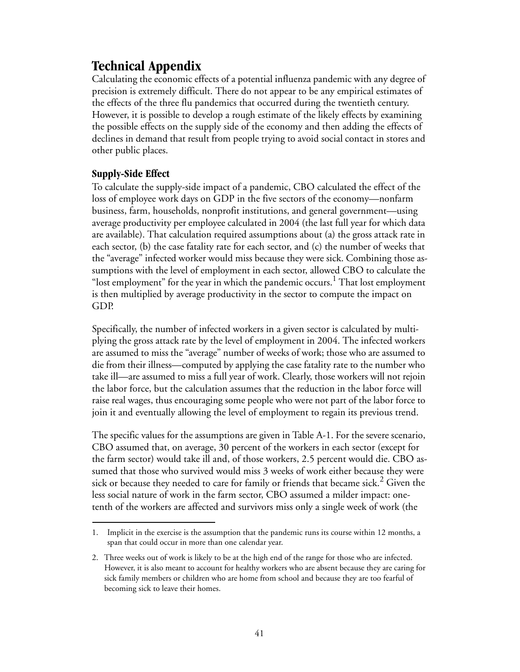# <span id="page-46-0"></span>**Technical Appendix**

Calculating the economic effects of a potential influenza pandemic with any degree of precision is extremely difficult. There do not appear to be any empirical estimates of the effects of the three flu pandemics that occurred during the twentieth century. However, it is possible to develop a rough estimate of the likely effects by examining the possible effects on the supply side of the economy and then adding the effects of declines in demand that result from people trying to avoid social contact in stores and other public places.

### **Supply-Side Effect**

To calculate the supply-side impact of a pandemic, CBO calculated the effect of the loss of employee work days on GDP in the five sectors of the economy—nonfarm business, farm, households, nonprofit institutions, and general government—using average productivity per employee calculated in 2004 (the last full year for which data are available). That calculation required assumptions about (a) the gross attack rate in each sector, (b) the case fatality rate for each sector, and (c) the number of weeks that the "average" infected worker would miss because they were sick. Combining those assumptions with the level of employment in each sector, allowed CBO to calculate the "lost employment" for the year in which the pandemic occurs.<sup>1</sup> That lost employment is then multiplied by average productivity in the sector to compute the impact on GDP.

Specifically, the number of infected workers in a given sector is calculated by multiplying the gross attack rate by the level of employment in 2004. The infected workers are assumed to miss the "average" number of weeks of work; those who are assumed to die from their illness—computed by applying the case fatality rate to the number who take ill—are assumed to miss a full year of work. Clearly, those workers will not rejoin the labor force, but the calculation assumes that the reduction in the labor force will raise real wages, thus encouraging some people who were not part of the labor force to join it and eventually allowing the level of employment to regain its previous trend.

The specific values for the assumptions are given in [Table A-1.](#page-47-0) For the severe scenario, CBO assumed that, on average, 30 percent of the workers in each sector (except for the farm sector) would take ill and, of those workers, 2.5 percent would die. CBO assumed that those who survived would miss 3 weeks of work either because they were sick or because they needed to care for family or friends that became sick.<sup>2</sup> Given the less social nature of work in the farm sector, CBO assumed a milder impact: onetenth of the workers are affected and survivors miss only a single week of work (the

<sup>1.</sup> Implicit in the exercise is the assumption that the pandemic runs its course within 12 months, a span that could occur in more than one calendar year.

<sup>2.</sup> Three weeks out of work is likely to be at the high end of the range for those who are infected. However, it is also meant to account for healthy workers who are absent because they are caring for sick family members or children who are home from school and because they are too fearful of becoming sick to leave their homes.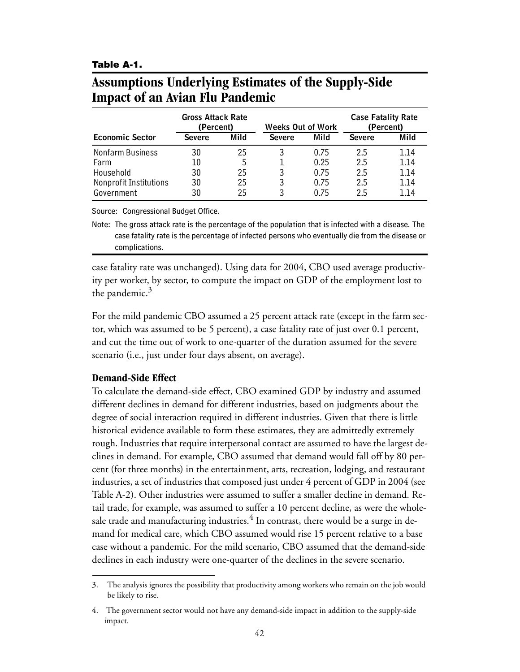#### <span id="page-47-0"></span>**Table A-1.**

# <span id="page-47-1"></span>**Assumptions Underlying Estimates of the Supply-Side Impact of an Avian Flu Pandemic**

|                        | <b>Gross Attack Rate</b><br>(Percent) |      | <b>Weeks Out of Work</b> |      | <b>Case Fatality Rate</b><br>(Percent) |      |
|------------------------|---------------------------------------|------|--------------------------|------|----------------------------------------|------|
| <b>Economic Sector</b> | <b>Severe</b>                         | Mild | <b>Severe</b>            | Mild | <b>Severe</b>                          | Mild |
| Nonfarm Business       | 30                                    | 25   |                          | 0.75 | 2.5                                    | 1.14 |
| Farm                   | 10                                    | 5    |                          | 0.25 | 2.5                                    | 1.14 |
| Household              | 30                                    | 25   | 3                        | 0.75 | 2.5                                    | 1.14 |
| Nonprofit Institutions | 30                                    | 25   | 3                        | 0.75 | 2.5                                    | 1.14 |
| Government             | 30                                    | 25   |                          | በ 75 | 2.5                                    | 1 14 |

Source: Congressional Budget Office.

Note: The gross attack rate is the percentage of the population that is infected with a disease. The case fatality rate is the percentage of infected persons who eventually die from the disease or complications.

case fatality rate was unchanged). Using data for 2004, CBO used average productivity per worker, by sector, to compute the impact on GDP of the employment lost to the pandemic. $3$ 

For the mild pandemic CBO assumed a 25 percent attack rate (except in the farm sector, which was assumed to be 5 percent), a case fatality rate of just over 0.1 percent, and cut the time out of work to one-quarter of the duration assumed for the severe scenario (i.e., just under four days absent, on average).

#### **Demand-Side Effect**

To calculate the demand-side effect, CBO examined GDP by industry and assumed different declines in demand for different industries, based on judgments about the degree of social interaction required in different industries. Given that there is little historical evidence available to form these estimates, they are admittedly extremely rough. Industries that require interpersonal contact are assumed to have the largest declines in demand. For example, CBO assumed that demand would fall off by 80 percent (for three months) in the entertainment, arts, recreation, lodging, and restaurant industries, a set of industries that composed just under 4 percent of GDP in 2004 (see [Table A-2\)](#page-49-0). Other industries were assumed to suffer a smaller decline in demand. Retail trade, for example, was assumed to suffer a 10 percent decline, as were the wholesale trade and manufacturing industries.<sup>4</sup> In contrast, there would be a surge in demand for medical care, which CBO assumed would rise 15 percent relative to a base case without a pandemic. For the mild scenario, CBO assumed that the demand-side declines in each industry were one-quarter of the declines in the severe scenario.

<sup>3.</sup> The analysis ignores the possibility that productivity among workers who remain on the job would be likely to rise.

<sup>4.</sup> The government sector would not have any demand-side impact in addition to the supply-side impact.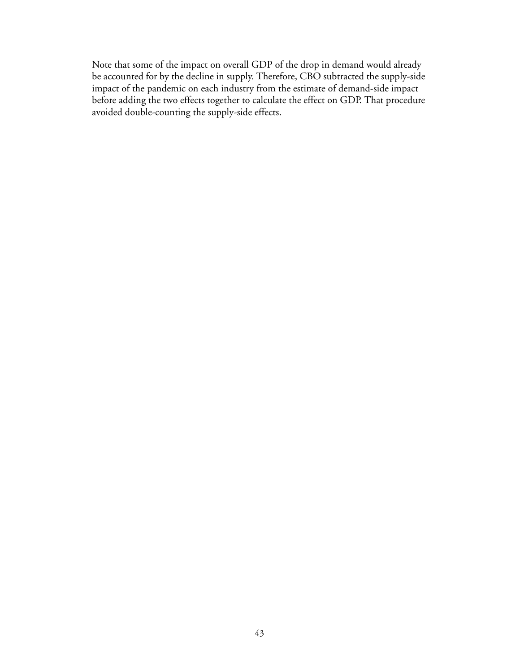Note that some of the impact on overall GDP of the drop in demand would already be accounted for by the decline in supply. Therefore, CBO subtracted the supply-side impact of the pandemic on each industry from the estimate of demand-side impact before adding the two effects together to calculate the effect on GDP. That procedure avoided double-counting the supply-side effects.